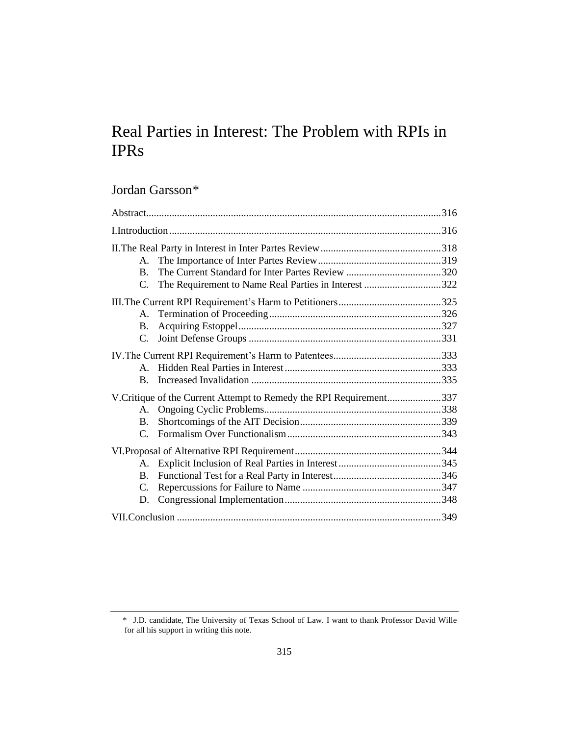# Real Parties in Interest: The Problem with RPIs in IPRs

# Jordan Garsson*\**

| A.                                                                 |  |
|--------------------------------------------------------------------|--|
| B.                                                                 |  |
| The Requirement to Name Real Parties in Interest 322<br>C.         |  |
| A.                                                                 |  |
| <b>B.</b><br>C.                                                    |  |
|                                                                    |  |
| $\mathbf{A}$<br>B.                                                 |  |
| V.Critique of the Current Attempt to Remedy the RPI Requirement337 |  |
| A.<br>B.                                                           |  |
| $\mathcal{C}$ .                                                    |  |
|                                                                    |  |
| A.                                                                 |  |
| B.                                                                 |  |
| C.<br>D.                                                           |  |
|                                                                    |  |

<sup>\*</sup> J.D. candidate, The University of Texas School of Law. I want to thank Professor David Wille for all his support in writing this note.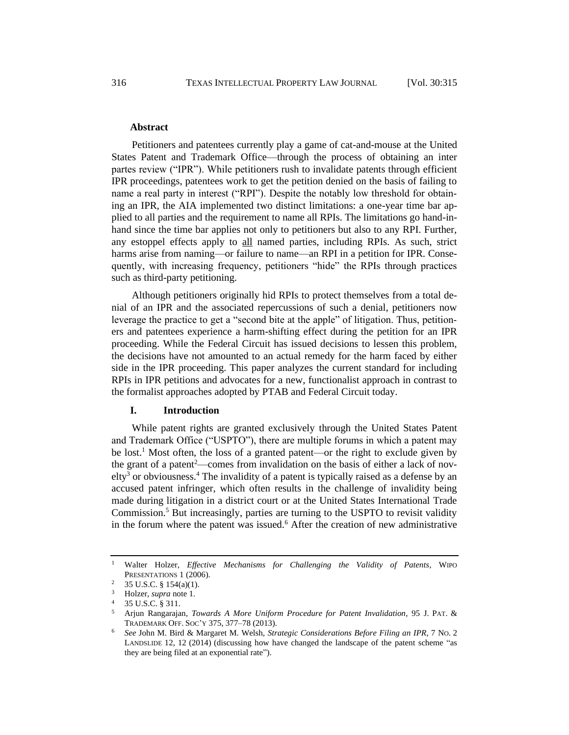#### **Abstract**

Petitioners and patentees currently play a game of cat-and-mouse at the United States Patent and Trademark Office—through the process of obtaining an inter partes review ("IPR"). While petitioners rush to invalidate patents through efficient IPR proceedings, patentees work to get the petition denied on the basis of failing to name a real party in interest ("RPI"). Despite the notably low threshold for obtaining an IPR, the AIA implemented two distinct limitations: a one-year time bar applied to all parties and the requirement to name all RPIs. The limitations go hand-inhand since the time bar applies not only to petitioners but also to any RPI. Further, any estoppel effects apply to all named parties, including RPIs. As such, strict harms arise from naming—or failure to name—an RPI in a petition for IPR. Consequently, with increasing frequency, petitioners "hide" the RPIs through practices such as third-party petitioning.

Although petitioners originally hid RPIs to protect themselves from a total denial of an IPR and the associated repercussions of such a denial, petitioners now leverage the practice to get a "second bite at the apple" of litigation. Thus, petitioners and patentees experience a harm-shifting effect during the petition for an IPR proceeding. While the Federal Circuit has issued decisions to lessen this problem, the decisions have not amounted to an actual remedy for the harm faced by either side in the IPR proceeding. This paper analyzes the current standard for including RPIs in IPR petitions and advocates for a new, functionalist approach in contrast to the formalist approaches adopted by PTAB and Federal Circuit today.

# **I. Introduction**

While patent rights are granted exclusively through the United States Patent and Trademark Office ("USPTO"), there are multiple forums in which a patent may be lost.<sup>1</sup> Most often, the loss of a granted patent—or the right to exclude given by the grant of a patent<sup>2</sup>—comes from invalidation on the basis of either a lack of nov $e^{\frac{1}{2}}$  or obviousness.<sup>4</sup> The invalidity of a patent is typically raised as a defense by an accused patent infringer, which often results in the challenge of invalidity being made during litigation in a district court or at the United States International Trade Commission.<sup>5</sup> But increasingly, parties are turning to the USPTO to revisit validity in the forum where the patent was issued.<sup>6</sup> After the creation of new administrative

<sup>1</sup> Walter Holzer, *Effective Mechanisms for Challenging the Validity of Patents*, WIPO PRESENTATIONS 1 (2006).

<sup>&</sup>lt;sup>2</sup> 35 U.S.C. § 154(a)(1).

<sup>3</sup> Holzer, *supra* note 1.

<sup>4</sup> 35 U.S.C. § 311.

<sup>5</sup> Arjun Rangarajan, *Towards A More Uniform Procedure for Patent Invalidation*, 95 J. PAT. & TRADEMARK OFF. SOC'Y 375, 377–78 (2013).

<sup>6</sup> *See* John M. Bird & Margaret M. Welsh, *Strategic Considerations Before Filing an IPR*, 7 NO. 2 LANDSLIDE 12, 12 (2014) (discussing how have changed the landscape of the patent scheme "as they are being filed at an exponential rate").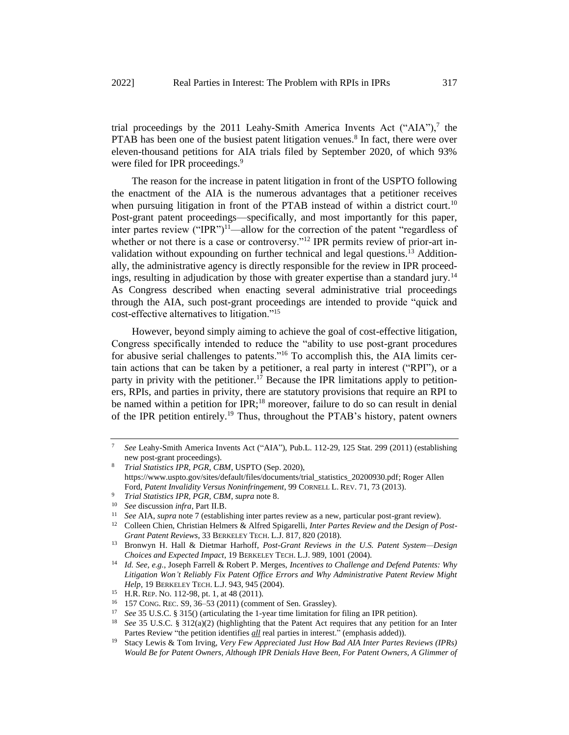trial proceedings by the 2011 Leahy-Smith America Invents Act ("AIA"), $^7$  the PTAB has been one of the busiest patent litigation venues.<sup>8</sup> In fact, there were over eleven-thousand petitions for AIA trials filed by September 2020, of which 93% were filed for IPR proceedings.<sup>9</sup>

The reason for the increase in patent litigation in front of the USPTO following the enactment of the AIA is the numerous advantages that a petitioner receives when pursuing litigation in front of the PTAB instead of within a district court.<sup>10</sup> Post-grant patent proceedings—specifically, and most importantly for this paper, inter partes review  $("IPR")<sup>11</sup>$ —allow for the correction of the patent "regardless of whether or not there is a case or controversy."<sup>12</sup> IPR permits review of prior-art invalidation without expounding on further technical and legal questions.<sup>13</sup> Additionally, the administrative agency is directly responsible for the review in IPR proceedings, resulting in adjudication by those with greater expertise than a standard jury.<sup>14</sup> As Congress described when enacting several administrative trial proceedings through the AIA, such post-grant proceedings are intended to provide "quick and cost-effective alternatives to litigation."<sup>15</sup>

However, beyond simply aiming to achieve the goal of cost-effective litigation, Congress specifically intended to reduce the "ability to use post-grant procedures for abusive serial challenges to patents."<sup>16</sup> To accomplish this, the AIA limits certain actions that can be taken by a petitioner, a real party in interest ("RPI"), or a party in privity with the petitioner.<sup>17</sup> Because the IPR limitations apply to petitioners, RPIs, and parties in privity, there are statutory provisions that require an RPI to be named within a petition for IPR;<sup>18</sup> moreover, failure to do so can result in denial of the IPR petition entirely.<sup>19</sup> Thus, throughout the PTAB's history, patent owners

<sup>7</sup> *See* Leahy-Smith America Invents Act ("AIA"), Pub.L. 112-29, 125 Stat. 299 (2011) (establishing new post-grant proceedings).

<sup>8</sup> *Trial Statistics IPR, PGR, CBM*, USPTO (Sep. 2020), [https://www.uspto.gov/sites/default/files/documents/trial\\_statistics\\_20200930.pdf;](https://www.uspto.gov/sites/default/files/documents/trial_statistics_20200930.pdf) Roger Allen Ford, *Patent Invalidity Versus Noninfringement*, 99 CORNELL L. REV. 71, 73 (2013).

<sup>9</sup> *Trial Statistics IPR, PGR, CBM*, *supra* note 8.

<sup>&</sup>lt;sup>10</sup> *See* discussion *infra*, Part II.B.<br><sup>11</sup> See ALA, sunga pote 7 (ostablish-

<sup>11</sup> *See* AIA, *supra* note 7 (establishing inter partes review as a new, particular post-grant review).

<sup>12</sup> Colleen Chien, Christian Helmers & Alfred Spigarelli, *Inter Partes Review and the Design of Post-Grant Patent Reviews*, 33 BERKELEY TECH. L.J. 817, 820 (2018).

<sup>13</sup> Bronwyn H. Hall & Dietmar Harhoff, *Post-Grant Reviews in the U.S. Patent System—Design Choices and Expected Impact*, 19 BERKELEY TECH. L.J. 989, 1001 (2004).

<sup>14</sup> *Id. See, e.g.*, Joseph Farrell & Robert P. Merges, *Incentives to Challenge and Defend Patents: Why Litigation Won't Reliably Fix Patent Office Errors and Why Administrative Patent Review Might Help*, 19 BERKELEY TECH. L.J. 943, 945 (2004).

<sup>15</sup> H.R. REP. NO. 112-98, pt. 1, at 48 (2011).

<sup>&</sup>lt;sup>16</sup> 157 CONG. REC. S9, 36–53 (2011) (comment of Sen. Grassley).<br><sup>17</sup> See 35 U.S.C. & 3150 (orticulating the 1 year time limitation for

<sup>17</sup> *See* 35 U.S.C. § 315() (articulating the 1-year time limitation for filing an IPR petition).

<sup>18</sup> *See* 35 U.S.C. § 312(a)(2) (highlighting that the Patent Act requires that any petition for an Inter Partes Review "the petition identifies *all* real parties in interest." (emphasis added)).

<sup>19</sup> Stacy Lewis & Tom Irving, *Very Few Appreciated Just How Bad AIA Inter Partes Reviews (IPRs) Would Be for Patent Owners, Although IPR Denials Have Been, For Patent Owners, A Glimmer of*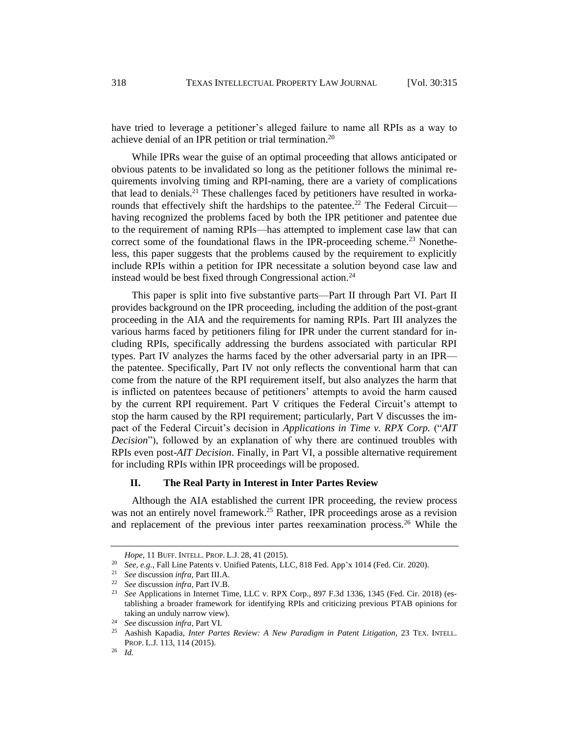have tried to leverage a petitioner's alleged failure to name all RPIs as a way to achieve denial of an IPR petition or trial termination.<sup>20</sup>

While IPRs wear the guise of an optimal proceeding that allows anticipated or obvious patents to be invalidated so long as the petitioner follows the minimal requirements involving timing and RPI-naming, there are a variety of complications that lead to denials.<sup>21</sup> These challenges faced by petitioners have resulted in workarounds that effectively shift the hardships to the patentee.<sup>22</sup> The Federal Circuit having recognized the problems faced by both the IPR petitioner and patentee due to the requirement of naming RPIs—has attempted to implement case law that can correct some of the foundational flaws in the IPR-proceeding scheme.<sup>23</sup> Nonetheless, this paper suggests that the problems caused by the requirement to explicitly include RPIs within a petition for IPR necessitate a solution beyond case law and instead would be best fixed through Congressional action.<sup>24</sup>

This paper is split into five substantive parts—Part II through Part VI. Part II provides background on the IPR proceeding, including the addition of the post-grant proceeding in the AIA and the requirements for naming RPIs. Part III analyzes the various harms faced by petitioners filing for IPR under the current standard for including RPIs, specifically addressing the burdens associated with particular RPI types. Part IV analyzes the harms faced by the other adversarial party in an IPR the patentee. Specifically, Part IV not only reflects the conventional harm that can come from the nature of the RPI requirement itself, but also analyzes the harm that is inflicted on patentees because of petitioners' attempts to avoid the harm caused by the current RPI requirement. Part V critiques the Federal Circuit's attempt to stop the harm caused by the RPI requirement; particularly, Part V discusses the impact of the Federal Circuit's decision in *Applications in Time v. RPX Corp.* ("*AIT Decision*"), followed by an explanation of why there are continued troubles with RPIs even post-*AIT Decision*. Finally, in Part VI, a possible alternative requirement for including RPIs within IPR proceedings will be proposed.

## **II. The Real Party in Interest in Inter Partes Review**

Although the AIA established the current IPR proceeding, the review process was not an entirely novel framework.<sup>25</sup> Rather, IPR proceedings arose as a revision and replacement of the previous inter partes reexamination process.<sup>26</sup> While the

*Hope*, 11 BUFF. INTELL. PROP. L.J. 28, 41 (2015).

<sup>20</sup> *See, e.g.*, Fall Line Patents v. Unified Patents, LLC, 818 Fed. App'x 1014 (Fed. Cir. 2020).

<sup>21</sup> *See* discussion *infra*, Part III.A.

<sup>22</sup> *See* discussion *infra*, Part IV.B.

<sup>23</sup> *See* Applications in Internet Time, LLC v. RPX Corp., 897 F.3d 1336, 1345 (Fed. Cir. 2018) (establishing a broader framework for identifying RPIs and criticizing previous PTAB opinions for taking an unduly narrow view).

<sup>&</sup>lt;sup>24</sup> *See* discussion *infra*, Part VI.

<sup>25</sup> Aashish Kapadia, *Inter Partes Review: A New Paradigm in Patent Litigation*, 23 TEX. INTELL. PROP. L.J. 113, 114 (2015).

<sup>26</sup> *Id.*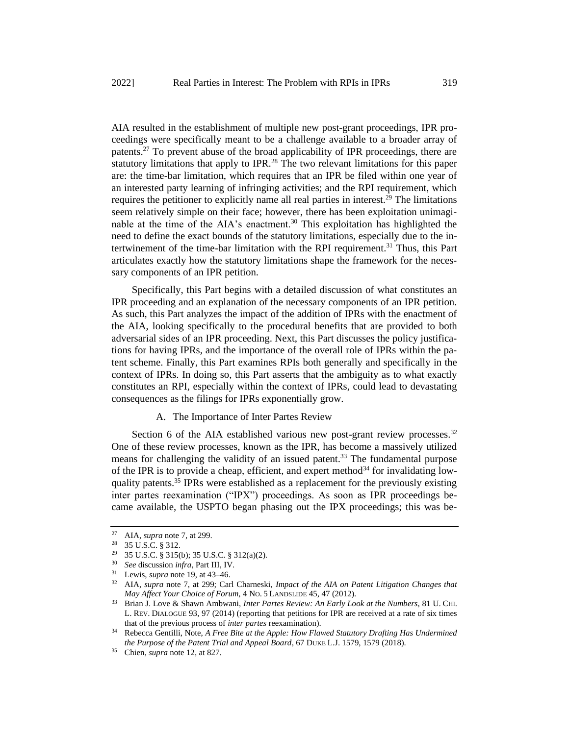AIA resulted in the establishment of multiple new post-grant proceedings, IPR proceedings were specifically meant to be a challenge available to a broader array of patents.<sup>27</sup> To prevent abuse of the broad applicability of IPR proceedings, there are statutory limitations that apply to IPR.<sup>28</sup> The two relevant limitations for this paper are: the time-bar limitation, which requires that an IPR be filed within one year of an interested party learning of infringing activities; and the RPI requirement, which requires the petitioner to explicitly name all real parties in interest.<sup>29</sup> The limitations seem relatively simple on their face; however, there has been exploitation unimaginable at the time of the AIA's enactment.<sup>30</sup> This exploitation has highlighted the need to define the exact bounds of the statutory limitations, especially due to the intertwinement of the time-bar limitation with the RPI requirement.<sup>31</sup> Thus, this Part articulates exactly how the statutory limitations shape the framework for the necessary components of an IPR petition.

Specifically, this Part begins with a detailed discussion of what constitutes an IPR proceeding and an explanation of the necessary components of an IPR petition. As such, this Part analyzes the impact of the addition of IPRs with the enactment of the AIA, looking specifically to the procedural benefits that are provided to both adversarial sides of an IPR proceeding. Next, this Part discusses the policy justifications for having IPRs, and the importance of the overall role of IPRs within the patent scheme. Finally, this Part examines RPIs both generally and specifically in the context of IPRs. In doing so, this Part asserts that the ambiguity as to what exactly constitutes an RPI, especially within the context of IPRs, could lead to devastating consequences as the filings for IPRs exponentially grow.

#### A. The Importance of Inter Partes Review

Section 6 of the AIA established various new post-grant review processes.<sup>32</sup> One of these review processes, known as the IPR, has become a massively utilized means for challenging the validity of an issued patent.<sup>33</sup> The fundamental purpose of the IPR is to provide a cheap, efficient, and expert method<sup>34</sup> for invalidating lowquality patents.<sup>35</sup> IPRs were established as a replacement for the previously existing inter partes reexamination ("IPX") proceedings. As soon as IPR proceedings became available, the USPTO began phasing out the IPX proceedings; this was be-

<sup>27</sup> AIA, *supra* note 7, at 299.

<sup>28</sup> 35 U.S.C. § 312.

<sup>29</sup> 35 U.S.C. § 315(b); 35 U.S.C. § 312(a)(2).

<sup>30</sup> *See* discussion *infra*, Part III, IV.

<sup>31</sup> Lewis, *supra* note 19, at 43–46.

<sup>32</sup> AIA, *supra* note 7, at 299; Carl Charneski, *Impact of the AIA on Patent Litigation Changes that May Affect Your Choice of Forum*, 4 NO. 5 LANDSLIDE 45, 47 (2012).

<sup>33</sup> Brian J. Love & Shawn Ambwani, *Inter Partes Review: An Early Look at the Numbers*, 81 U. CHI. L. REV. DIALOGUE 93, 97 (2014) (reporting that petitions for IPR are received at a rate of six times that of the previous process of *inter partes* reexamination).

<sup>34</sup> Rebecca Gentilli, Note, *A Free Bite at the Apple: How Flawed Statutory Drafting Has Undermined the Purpose of the Patent Trial and Appeal Board*, 67 DUKE L.J. 1579, 1579 (2018).

<sup>35</sup> Chien, *supra* note 12, at 827.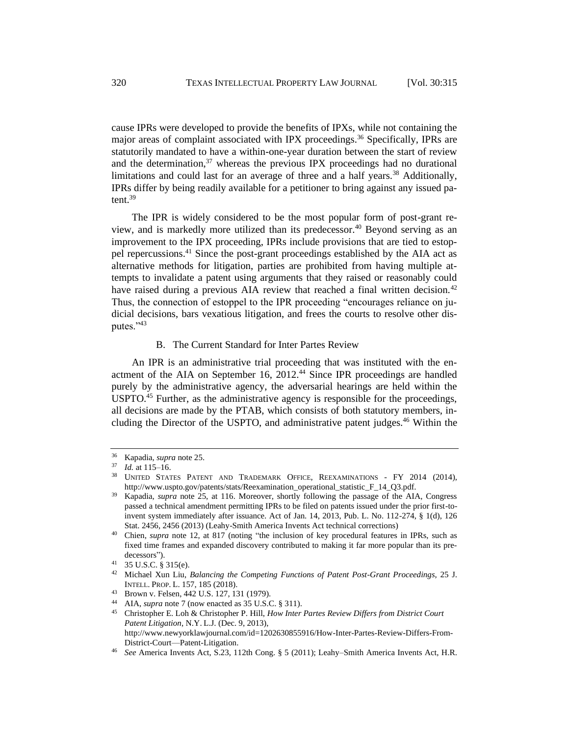cause IPRs were developed to provide the benefits of IPXs, while not containing the major areas of complaint associated with IPX proceedings.<sup>36</sup> Specifically, IPRs are statutorily mandated to have a within-one-year duration between the start of review and the determination, $37$  whereas the previous IPX proceedings had no durational limitations and could last for an average of three and a half years.<sup>38</sup> Additionally, IPRs differ by being readily available for a petitioner to bring against any issued patent.<sup>39</sup>

The IPR is widely considered to be the most popular form of post-grant review, and is markedly more utilized than its predecessor.<sup>40</sup> Beyond serving as an improvement to the IPX proceeding, IPRs include provisions that are tied to estoppel repercussions.<sup>41</sup> Since the post-grant proceedings established by the AIA act as alternative methods for litigation, parties are prohibited from having multiple attempts to invalidate a patent using arguments that they raised or reasonably could have raised during a previous AIA review that reached a final written decision.<sup>42</sup> Thus, the connection of estoppel to the IPR proceeding "encourages reliance on judicial decisions, bars vexatious litigation, and frees the courts to resolve other disputes."<sup>43</sup>

#### B. The Current Standard for Inter Partes Review

An IPR is an administrative trial proceeding that was instituted with the enactment of the AIA on September 16,  $2012<sup>44</sup>$  Since IPR proceedings are handled purely by the administrative agency, the adversarial hearings are held within the USPTO.<sup>45</sup> Further, as the administrative agency is responsible for the proceedings, all decisions are made by the PTAB, which consists of both statutory members, including the Director of the USPTO, and administrative patent judges.<sup>46</sup> Within the

<sup>36</sup> Kapadia, *supra* note 25.

*Id.* at 115–16.

UNITED STATES PATENT AND TRADEMARK OFFICE, REEXAMINATIONS - FY 2014 (2014), http://www.uspto.gov/patents/stats/Reexamination\_operational\_statistic\_F\_14\_Q3.pdf.

<sup>39</sup> Kapadia, *supra* note 25, at 116. Moreover, shortly following the passage of the AIA, Congress passed a technical amendment permitting IPRs to be filed on patents issued under the prior first-toinvent system immediately after issuance. Act of Jan. 14, 2013, Pub. L. No. 112-274, § 1(d), 126 Stat. 2456, 2456 (2013) (Leahy-Smith America Invents Act technical corrections)

<sup>40</sup> Chien, *supra* note 12, at 817 (noting "the inclusion of key procedural features in IPRs, such as fixed time frames and expanded discovery contributed to making it far more popular than its predecessors").

<sup>41</sup> 35 U.S.C. § 315(e).

<sup>42</sup> Michael Xun Liu, *Balancing the Competing Functions of Patent Post-Grant Proceedings*, 25 J. INTELL. PROP. L. 157, 185 (2018).

<sup>43</sup> Brown v. Felsen, 442 U.S. 127, 131 (1979).

AIA, *supra* note 7 (now enacted as 35 U.S.C. § 311).

<sup>45</sup> Christopher E. Loh & Christopher P. Hill, *How Inter Partes Review Differs from District Court Patent Litigation*, N.Y. L.J. (Dec. 9, 2013), http://www.newyorklawjournal.com/id=1202630855916/How-Inter-Partes-Review-Differs-From-District-Court—Patent-Litigation.

<sup>46</sup> *See* America Invents Act, S.23, 112th Cong. § 5 (2011); Leahy–Smith America Invents Act, H.R.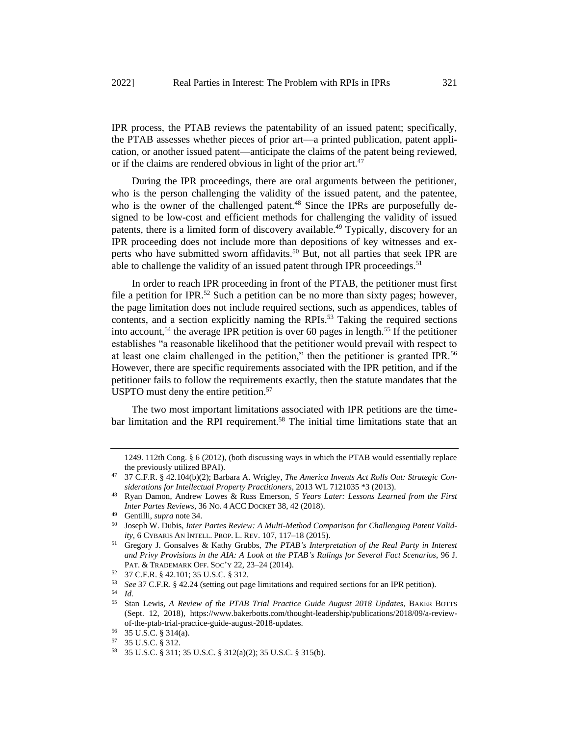IPR process, the PTAB reviews the patentability of an issued patent; specifically, the PTAB assesses whether pieces of prior art—a printed publication, patent application, or another issued patent—anticipate the claims of the patent being reviewed, or if the claims are rendered obvious in light of the prior art. $47$ 

During the IPR proceedings, there are oral arguments between the petitioner, who is the person challenging the validity of the issued patent, and the patentee, who is the owner of the challenged patent.<sup>48</sup> Since the IPRs are purposefully designed to be low-cost and efficient methods for challenging the validity of issued patents, there is a limited form of discovery available.<sup>49</sup> Typically, discovery for an IPR proceeding does not include more than depositions of key witnesses and experts who have submitted sworn affidavits.<sup>50</sup> But, not all parties that seek IPR are able to challenge the validity of an issued patent through IPR proceedings.<sup>51</sup>

In order to reach IPR proceeding in front of the PTAB, the petitioner must first file a petition for IPR.<sup>52</sup> Such a petition can be no more than sixty pages; however, the page limitation does not include required sections, such as appendices, tables of contents, and a section explicitly naming the RPIs.<sup>53</sup> Taking the required sections into account,<sup>54</sup> the average IPR petition is over 60 pages in length.<sup>55</sup> If the petitioner establishes "a reasonable likelihood that the petitioner would prevail with respect to at least one claim challenged in the petition," then the petitioner is granted IPR.<sup>56</sup> However, there are specific requirements associated with the IPR petition, and if the petitioner fails to follow the requirements exactly, then the statute mandates that the USPTO must deny the entire petition.<sup>57</sup>

The two most important limitations associated with IPR petitions are the timebar limitation and the RPI requirement.<sup>58</sup> The initial time limitations state that an

<sup>1249. 112</sup>th Cong. § 6 (2012), (both discussing ways in which the PTAB would essentially replace the previously utilized BPAI).

<sup>47</sup> 37 C.F.R. § 42.104(b)(2); Barbara A. Wrigley, *The America Invents Act Rolls Out: Strategic Considerations for Intellectual Property Practitioners*, 2013 WL 7121035 \*3 (2013).

<sup>48</sup> Ryan Damon, Andrew Lowes & Russ Emerson, *5 Years Later: Lessons Learned from the First Inter Partes Reviews*, 36 NO. 4 ACC DOCKET 38, 42 (2018).

<sup>49</sup> Gentilli, *supra* note 34.

<sup>50</sup> Joseph W. Dubis, *Inter Partes Review: A Multi-Method Comparison for Challenging Patent Validity*, 6 CYBARIS AN INTELL. PROP. L. REV. 107, 117–18 (2015).

<sup>51</sup> Gregory J. Gonsalves & Kathy Grubbs, *The PTAB's Interpretation of the Real Party in Interest and Privy Provisions in the AIA: A Look at the PTAB's Rulings for Several Fact Scenarios*, 96 J. PAT. & TRADEMARK OFF. SOC'Y 22, 23–24 (2014).

<sup>52 37</sup> C.F.R. § 42.101; 35 U.S.C. § 312.<br>53 See 37 C F R § 42.24 (setting out page

<sup>&</sup>lt;sup>53</sup> *See* 37 C.F.R. § 42.24 (setting out page limitations and required sections for an IPR petition).

 $\frac{54}{55}$  *Id.* 

<sup>55</sup> Stan Lewis, *A Review of the PTAB Trial Practice Guide August 2018 Updates*, BAKER BOTTS (Sept. 12, 2018), https://www.bakerbotts.com/thought-leadership/publications/2018/09/a-reviewof-the-ptab-trial-practice-guide-august-2018-updates.

 $^{56}$  35 U.S.C. § 314(a).<br> $^{57}$  35 U.S.C. § 312

<sup>57</sup> 35 U.S.C. § 312.

<sup>58</sup> 35 U.S.C. § 311; 35 U.S.C. § 312(a)(2); 35 U.S.C. § 315(b).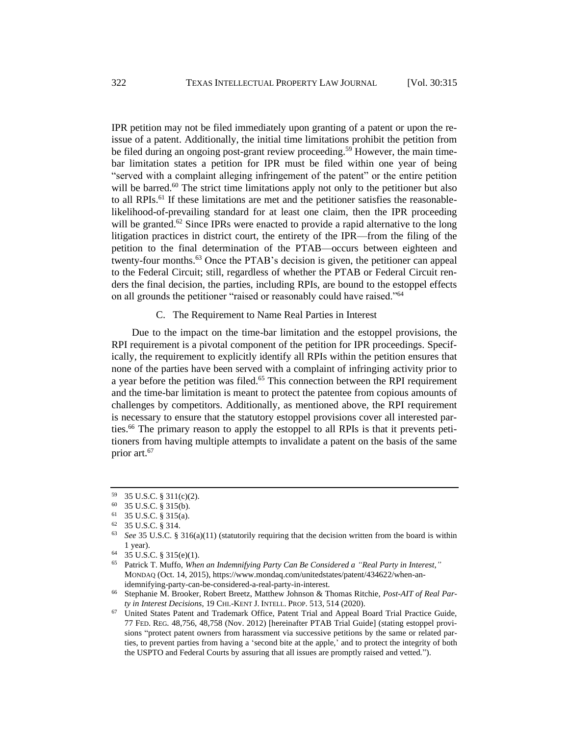IPR petition may not be filed immediately upon granting of a patent or upon the reissue of a patent. Additionally, the initial time limitations prohibit the petition from be filed during an ongoing post-grant review proceeding.<sup>59</sup> However, the main timebar limitation states a petition for IPR must be filed within one year of being "served with a complaint alleging infringement of the patent" or the entire petition will be barred.<sup>60</sup> The strict time limitations apply not only to the petitioner but also to all RPIs.<sup>61</sup> If these limitations are met and the petitioner satisfies the reasonablelikelihood-of-prevailing standard for at least one claim, then the IPR proceeding will be granted.<sup>62</sup> Since IPRs were enacted to provide a rapid alternative to the long litigation practices in district court, the entirety of the IPR—from the filing of the petition to the final determination of the PTAB—occurs between eighteen and twenty-four months.<sup>63</sup> Once the PTAB's decision is given, the petitioner can appeal to the Federal Circuit; still, regardless of whether the PTAB or Federal Circuit renders the final decision, the parties, including RPIs, are bound to the estoppel effects on all grounds the petitioner "raised or reasonably could have raised."<sup>64</sup>

C. The Requirement to Name Real Parties in Interest

Due to the impact on the time-bar limitation and the estoppel provisions, the RPI requirement is a pivotal component of the petition for IPR proceedings. Specifically, the requirement to explicitly identify all RPIs within the petition ensures that none of the parties have been served with a complaint of infringing activity prior to a year before the petition was filed.<sup>65</sup> This connection between the RPI requirement and the time-bar limitation is meant to protect the patentee from copious amounts of challenges by competitors. Additionally, as mentioned above, the RPI requirement is necessary to ensure that the statutory estoppel provisions cover all interested parties.<sup>66</sup> The primary reason to apply the estoppel to all RPIs is that it prevents petitioners from having multiple attempts to invalidate a patent on the basis of the same prior art.<sup>67</sup>

 $^{59}$  35 U.S.C. § 311(c)(2).<br>  $^{60}$  35 U.S.C. § 315(b)

 $^{60}$  35 U.S.C. § 315(b).<br>  $^{61}$  35 U.S.C. § 315(a)

 $^{61}$  35 U.S.C. § 315(a).<br> $^{62}$  35 U.S.C. § 314

 $^{62}$  35 U.S.C. § 314.<br>  $^{63}$  Sec 35 U.S.C. 8

<sup>63</sup> *See* 35 U.S.C. § 316(a)(11) (statutorily requiring that the decision written from the board is within 1 year).

<sup>64</sup> 35 U.S.C. § 315(e)(1).

<sup>65</sup> Patrick T. Muffo, *When an Indemnifying Party Can Be Considered a "Real Party in Interest*,*"* MONDAQ (Oct. 14, 2015), https://www.mondaq.com/unitedstates/patent/434622/when-anidemnifying-party-can-be-considered-a-real-party-in-interest.

<sup>66</sup> Stephanie M. Brooker, Robert Breetz, Matthew Johnson & Thomas Ritchie, *Post-AIT of Real Party in Interest Decisions*, 19 CHI.-KENT J. INTELL. PROP. 513, 514 (2020).

<sup>67</sup> United States Patent and Trademark Office, Patent Trial and Appeal Board Trial Practice Guide, 77 FED. REG. 48,756, 48,758 (Nov. 2012) [hereinafter PTAB Trial Guide] (stating estoppel provisions "protect patent owners from harassment via successive petitions by the same or related parties, to prevent parties from having a 'second bite at the apple,' and to protect the integrity of both the USPTO and Federal Courts by assuring that all issues are promptly raised and vetted.").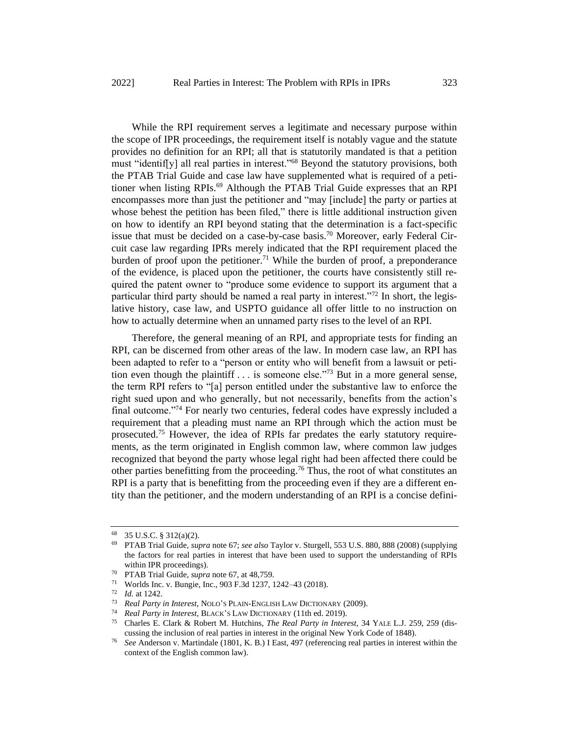While the RPI requirement serves a legitimate and necessary purpose within the scope of IPR proceedings, the requirement itself is notably vague and the statute provides no definition for an RPI; all that is statutorily mandated is that a petition must "identif[y] all real parties in interest."<sup>68</sup> Beyond the statutory provisions, both the PTAB Trial Guide and case law have supplemented what is required of a petitioner when listing RPIs.<sup>69</sup> Although the PTAB Trial Guide expresses that an RPI encompasses more than just the petitioner and "may [include] the party or parties at whose behest the petition has been filed," there is little additional instruction given on how to identify an RPI beyond stating that the determination is a fact-specific issue that must be decided on a case-by-case basis.<sup>70</sup> Moreover, early Federal Circuit case law regarding IPRs merely indicated that the RPI requirement placed the burden of proof upon the petitioner.<sup>71</sup> While the burden of proof, a preponderance of the evidence, is placed upon the petitioner, the courts have consistently still required the patent owner to "produce some evidence to support its argument that a particular third party should be named a real party in interest."<sup>72</sup> In short, the legislative history, case law, and USPTO guidance all offer little to no instruction on how to actually determine when an unnamed party rises to the level of an RPI.

Therefore, the general meaning of an RPI, and appropriate tests for finding an RPI, can be discerned from other areas of the law. In modern case law, an RPI has been adapted to refer to a "person or entity who will benefit from a lawsuit or petition even though the plaintiff  $\ldots$  is someone else.<sup> $\frac{1}{3}$ </sup> But in a more general sense, the term RPI refers to "[a] person entitled under the substantive law to enforce the right sued upon and who generally, but not necessarily, benefits from the action's final outcome."<sup>74</sup> For nearly two centuries, federal codes have expressly included a requirement that a pleading must name an RPI through which the action must be prosecuted.<sup>75</sup> However, the idea of RPIs far predates the early statutory requirements, as the term originated in English common law, where common law judges recognized that beyond the party whose legal right had been affected there could be other parties benefitting from the proceeding.<sup>76</sup> Thus, the root of what constitutes an RPI is a party that is benefitting from the proceeding even if they are a different entity than the petitioner, and the modern understanding of an RPI is a concise defini-

<sup>68</sup> 35 U.S.C. § 312(a)(2).

<sup>69</sup> PTAB Trial Guide, *supra* note 67; *see also* Taylor v. Sturgell, 553 U.S. 880, 888 (2008) (supplying the factors for real parties in interest that have been used to support the understanding of RPIs within IPR proceedings).

<sup>&</sup>lt;sup>70</sup> PTAB Trial Guide, *supra* note 67, at 48,759.<br><sup>71</sup> Worlds Inc. y. Bungie, Inc. 903 F 3d 1237.

<sup>&</sup>lt;sup>71</sup> Worlds Inc. v. Bungie, Inc., 903 F.3d 1237, 1242–43 (2018).<br><sup>72</sup> *Id.* at 1242

 $\frac{72}{73}$  *Id.* at 1242.

<sup>73</sup> *Real Party in Interest*, NOLO'S PLAIN-ENGLISH LAW DICTIONARY (2009).

<sup>74</sup> *Real Party in Interest*, BLACK'S LAW DICTIONARY (11th ed. 2019).

<sup>75</sup> Charles E. Clark & Robert M. Hutchins, *The Real Party in Interest*, 34 YALE L.J. 259, 259 (discussing the inclusion of real parties in interest in the original New York Code of 1848).

<sup>76</sup> *See* Anderson v. Martindale (1801, K. B.) I East, 497 (referencing real parties in interest within the context of the English common law).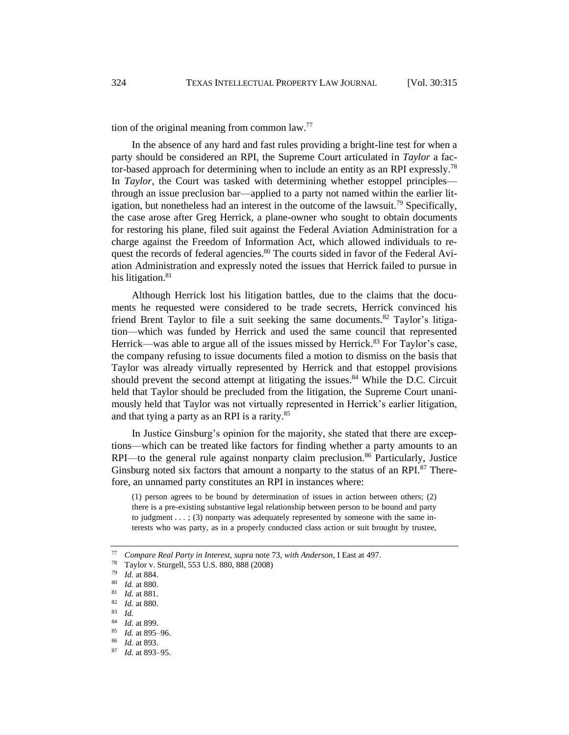tion of the original meaning from common law. $77$ 

In the absence of any hard and fast rules providing a bright-line test for when a party should be considered an RPI, the Supreme Court articulated in *Taylor* a factor-based approach for determining when to include an entity as an RPI expressly.<sup>78</sup> In *Taylor*, the Court was tasked with determining whether estoppel principles through an issue preclusion bar—applied to a party not named within the earlier litigation, but nonetheless had an interest in the outcome of the lawsuit.<sup>79</sup> Specifically, the case arose after Greg Herrick, a plane-owner who sought to obtain documents for restoring his plane, filed suit against the Federal Aviation Administration for a charge against the Freedom of Information Act, which allowed individuals to request the records of federal agencies.<sup>80</sup> The courts sided in favor of the Federal Aviation Administration and expressly noted the issues that Herrick failed to pursue in his litigation. $81$ 

Although Herrick lost his litigation battles, due to the claims that the documents he requested were considered to be trade secrets, Herrick convinced his friend Brent Taylor to file a suit seeking the same documents.<sup>82</sup> Taylor's litigation—which was funded by Herrick and used the same council that represented Herrick—was able to argue all of the issues missed by Herrick.<sup>83</sup> For Taylor's case, the company refusing to issue documents filed a motion to dismiss on the basis that Taylor was already virtually represented by Herrick and that estoppel provisions should prevent the second attempt at litigating the issues. $84$  While the D.C. Circuit held that Taylor should be precluded from the litigation, the Supreme Court unanimously held that Taylor was not virtually represented in Herrick's earlier litigation, and that tying a party as an RPI is a rarity.<sup>85</sup>

In Justice Ginsburg's opinion for the majority, she stated that there are exceptions—which can be treated like factors for finding whether a party amounts to an  $RPI$ —to the general rule against nonparty claim preclusion.<sup>86</sup> Particularly, Justice Ginsburg noted six factors that amount a nonparty to the status of an RPI.<sup>87</sup> Therefore, an unnamed party constitutes an RPI in instances where:

(1) person agrees to be bound by determination of issues in action between others; (2) there is a pre-existing substantive legal relationship between person to be bound and party to judgment  $\dots$ ; (3) nonparty was adequately represented by someone with the same interests who was party, as in a properly conducted class action or suit brought by trustee,

<sup>77</sup> *Compare Real Party in Interest*, *supra* note 73, *with Anderson*, I East at 497.

 $^{78}$  Taylor v. Sturgell, 553 U.S. 880, 888 (2008)

 $\frac{79}{80}$  *Id.* at 884.

 $\frac{80}{81}$  *Id.* at 880.

 $\frac{81}{82}$  *Id.* at 881.

<sup>82</sup> *Id.* at 880.

 $\frac{83}{84}$  *Id.* 

 $\frac{84}{85}$  *Id.* at 899.

 $\frac{85}{86}$  *Id.* at 895–96.

*Id.* at 893.

<sup>87</sup> *Id.* at 893–95.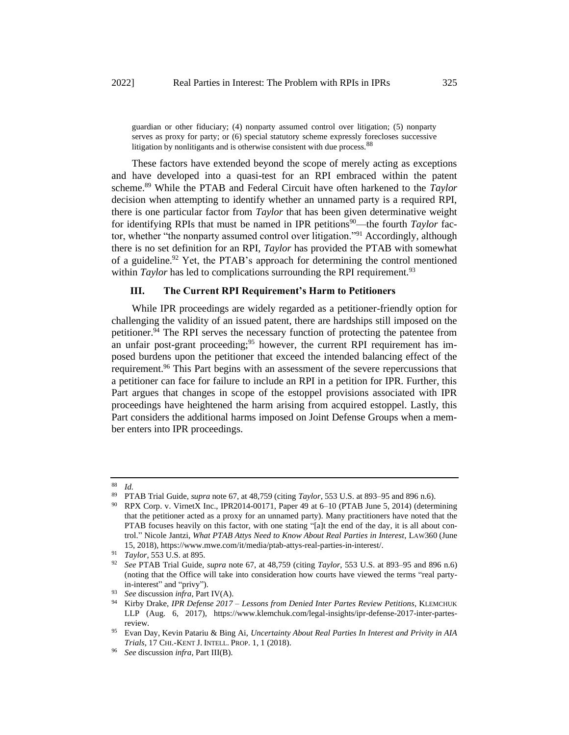guardian or other fiduciary; (4) nonparty assumed control over litigation; (5) nonparty serves as proxy for party; or (6) special statutory scheme expressly forecloses successive litigation by nonlitigants and is otherwise consistent with due process.<sup>88</sup>

These factors have extended beyond the scope of merely acting as exceptions and have developed into a quasi-test for an RPI embraced within the patent scheme.<sup>89</sup> While the PTAB and Federal Circuit have often harkened to the *Taylor* decision when attempting to identify whether an unnamed party is a required RPI, there is one particular factor from *Taylor* that has been given determinative weight for identifying RPIs that must be named in IPR petitions<sup>90</sup>—the fourth *Taylor* factor, whether "the nonparty assumed control over litigation."<sup>91</sup> Accordingly, although there is no set definition for an RPI, *Taylor* has provided the PTAB with somewhat of a guideline.<sup>92</sup> Yet, the PTAB's approach for determining the control mentioned within *Taylor* has led to complications surrounding the RPI requirement.<sup>93</sup>

# **III. The Current RPI Requirement's Harm to Petitioners**

While IPR proceedings are widely regarded as a petitioner-friendly option for challenging the validity of an issued patent, there are hardships still imposed on the petitioner.<sup>94</sup> The RPI serves the necessary function of protecting the patentee from an unfair post-grant proceeding;  $95$  however, the current RPI requirement has imposed burdens upon the petitioner that exceed the intended balancing effect of the requirement.<sup>96</sup> This Part begins with an assessment of the severe repercussions that a petitioner can face for failure to include an RPI in a petition for IPR. Further, this Part argues that changes in scope of the estoppel provisions associated with IPR proceedings have heightened the harm arising from acquired estoppel. Lastly, this Part considers the additional harms imposed on Joint Defense Groups when a member enters into IPR proceedings.

 $rac{88}{89}$  *Id.* 

<sup>89</sup> PTAB Trial Guide, *supra* note 67, at 48,759 (citing *Taylor*, 553 U.S. at 893–95 and 896 n.6).

<sup>90</sup> RPX Corp. v. VirnetX Inc., IPR2014-00171, Paper 49 at 6–10 (PTAB June 5, 2014) (determining that the petitioner acted as a proxy for an unnamed party). Many practitioners have noted that the PTAB focuses heavily on this factor, with one stating "[a]t the end of the day, it is all about control." Nicole Jantzi, *What PTAB Attys Need to Know About Real Parties in Interest*, LAW360 (June 15, 2018), https://www.mwe.com/it/media/ptab-attys-real-parties-in-interest/.

<sup>91</sup> *Taylor*, 553 U.S. at 895.

<sup>92</sup> *See* PTAB Trial Guide, *supra* note 67, at 48,759 (citing *Taylor*, 553 U.S. at 893–95 and 896 n.6) (noting that the Office will take into consideration how courts have viewed the terms "real partyin-interest" and "privy").

<sup>93</sup> *See* discussion *infra*, Part IV(A).

<sup>94</sup> Kirby Drake, *IPR Defense 2017 – Lessons from Denied Inter Partes Review Petitions*, KLEMCHUK LLP (Aug. 6, 2017), https://www.klemchuk.com/legal-insights/ipr-defense-2017-inter-partesreview.

<sup>95</sup> Evan Day, Kevin Patariu & Bing Ai, *Uncertainty About Real Parties In Interest and Privity in AIA Trials*, 17 CHI.-KENT J. INTELL. PROP. 1, 1 (2018).

<sup>96</sup> *See* discussion *infra*, Part III(B).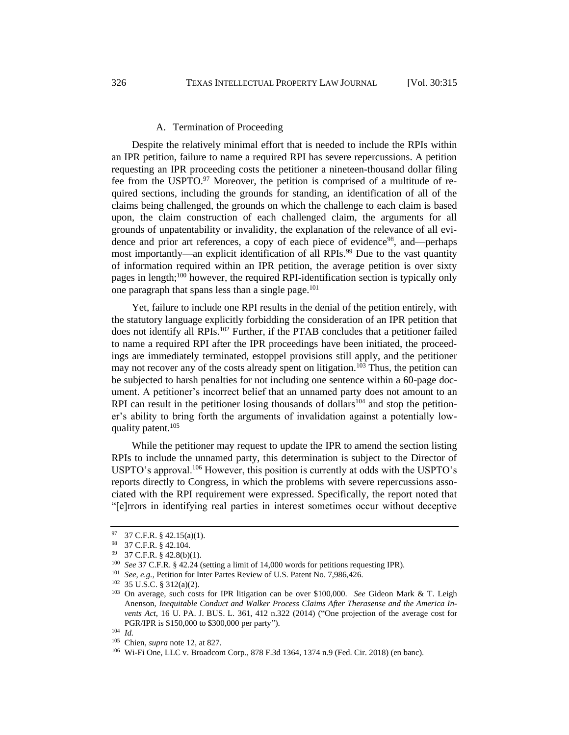#### A. Termination of Proceeding

Despite the relatively minimal effort that is needed to include the RPIs within an IPR petition, failure to name a required RPI has severe repercussions. A petition requesting an IPR proceeding costs the petitioner a nineteen-thousand dollar filing fee from the USPTO. $97$  Moreover, the petition is comprised of a multitude of required sections, including the grounds for standing, an identification of all of the claims being challenged, the grounds on which the challenge to each claim is based upon, the claim construction of each challenged claim, the arguments for all grounds of unpatentability or invalidity, the explanation of the relevance of all evidence and prior art references, a copy of each piece of evidence<sup>98</sup>, and—perhaps most importantly—an explicit identification of all RPIs.<sup>99</sup> Due to the vast quantity of information required within an IPR petition, the average petition is over sixty pages in length;<sup>100</sup> however, the required RPI-identification section is typically only one paragraph that spans less than a single page.<sup>101</sup>

Yet, failure to include one RPI results in the denial of the petition entirely, with the statutory language explicitly forbidding the consideration of an IPR petition that does not identify all RPIs.<sup>102</sup> Further, if the PTAB concludes that a petitioner failed to name a required RPI after the IPR proceedings have been initiated, the proceedings are immediately terminated, estoppel provisions still apply, and the petitioner may not recover any of the costs already spent on litigation.<sup>103</sup> Thus, the petition can be subjected to harsh penalties for not including one sentence within a 60-page document. A petitioner's incorrect belief that an unnamed party does not amount to an RPI can result in the petitioner losing thousands of dollars<sup>104</sup> and stop the petitioner's ability to bring forth the arguments of invalidation against a potentially lowquality patent.<sup>105</sup>

While the petitioner may request to update the IPR to amend the section listing RPIs to include the unnamed party, this determination is subject to the Director of USPTO's approval.<sup>106</sup> However, this position is currently at odds with the USPTO's reports directly to Congress, in which the problems with severe repercussions associated with the RPI requirement were expressed. Specifically, the report noted that "[e]rrors in identifying real parties in interest sometimes occur without deceptive

<sup>97 37</sup> C.F.R.  $\S$  42.15(a)(1).

<sup>98</sup> 37 C.F.R. § 42.104.

<sup>99</sup> 37 C.F.R. § 42.8(b)(1).

<sup>100</sup> *See* 37 C.F.R. § 42.24 (setting a limit of 14,000 words for petitions requesting IPR).

<sup>101</sup> *See, e.g.*, Petition for Inter Partes Review of U.S. Patent No. 7,986,426.

<sup>102</sup> 35 U.S.C. § 312(a)(2).

<sup>103</sup> On average, such costs for IPR litigation can be over \$100,000. *See* Gideon Mark & T. Leigh Anenson, *Inequitable Conduct and Walker Process Claims After Therasense and the America Invents Act*, 16 U. PA. J. BUS. L. 361, 412 n.322 (2014) ("One projection of the average cost for PGR/IPR is \$150,000 to \$300,000 per party").

<sup>104</sup> *Id.*

<sup>105</sup> Chien, *supra* note 12, at 827.

<sup>106</sup> Wi-Fi One, LLC v. Broadcom Corp., 878 F.3d 1364, 1374 n.9 (Fed. Cir. 2018) (en banc).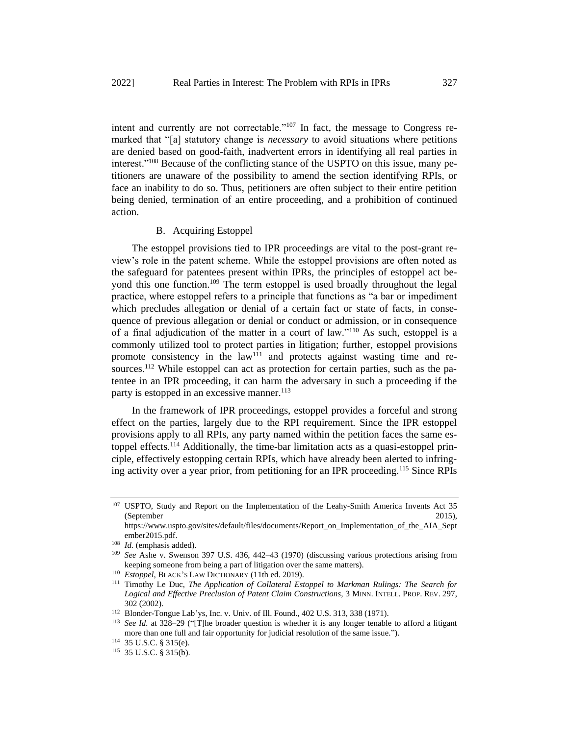intent and currently are not correctable."<sup>107</sup> In fact, the message to Congress remarked that "[a] statutory change is *necessary* to avoid situations where petitions are denied based on good-faith, inadvertent errors in identifying all real parties in interest."<sup>108</sup> Because of the conflicting stance of the USPTO on this issue, many petitioners are unaware of the possibility to amend the section identifying RPIs, or face an inability to do so. Thus, petitioners are often subject to their entire petition being denied, termination of an entire proceeding, and a prohibition of continued action.

## B. Acquiring Estoppel

The estoppel provisions tied to IPR proceedings are vital to the post-grant review's role in the patent scheme. While the estoppel provisions are often noted as the safeguard for patentees present within IPRs, the principles of estoppel act beyond this one function.<sup>109</sup> The term estoppel is used broadly throughout the legal practice, where estoppel refers to a principle that functions as "a bar or impediment which precludes allegation or denial of a certain fact or state of facts, in consequence of previous allegation or denial or conduct or admission, or in consequence of a final adjudication of the matter in a court of law."<sup>110</sup> As such, estoppel is a commonly utilized tool to protect parties in litigation; further, estoppel provisions promote consistency in the  $law<sup>111</sup>$  and protects against wasting time and resources.<sup>112</sup> While estoppel can act as protection for certain parties, such as the patentee in an IPR proceeding, it can harm the adversary in such a proceeding if the party is estopped in an excessive manner.<sup>113</sup>

In the framework of IPR proceedings, estoppel provides a forceful and strong effect on the parties, largely due to the RPI requirement. Since the IPR estoppel provisions apply to all RPIs, any party named within the petition faces the same estoppel effects.<sup>114</sup> Additionally, the time-bar limitation acts as a quasi-estoppel principle, effectively estopping certain RPIs, which have already been alerted to infringing activity over a year prior, from petitioning for an IPR proceeding.<sup>115</sup> Since RPIs

<sup>107</sup> USPTO, Study and Report on the Implementation of the Leahy-Smith America Invents Act 35 (September 2015),

https://www.uspto.gov/sites/default/files/documents/Report\_on\_Implementation\_of\_the\_AIA\_Sept ember2015.pdf.

<sup>108</sup> *Id.* (emphasis added).

<sup>109</sup> *See* Ashe v. Swenson 397 U.S. 436, 442–43 (1970) (discussing various protections arising from keeping someone from being a part of litigation over the same matters).

<sup>110</sup> *Estoppel*, BLACK'S LAW DICTIONARY (11th ed. 2019).

<sup>111</sup> Timothy Le Duc, *The Application of Collateral Estoppel to Markman Rulings: The Search for Logical and Effective Preclusion of Patent Claim Constructions*, 3 MINN. INTELL. PROP. REV. 297, 302 (2002).

<sup>112</sup> Blonder-Tongue Lab'ys, Inc. v. Univ. of Ill. Found., 402 U.S. 313, 338 (1971).

<sup>113</sup> *See Id.* at 328–29 ("[T]he broader question is whether it is any longer tenable to afford a litigant more than one full and fair opportunity for judicial resolution of the same issue.").

<sup>114</sup> 35 U.S.C. § 315(e).

<sup>115</sup> 35 U.S.C. § 315(b).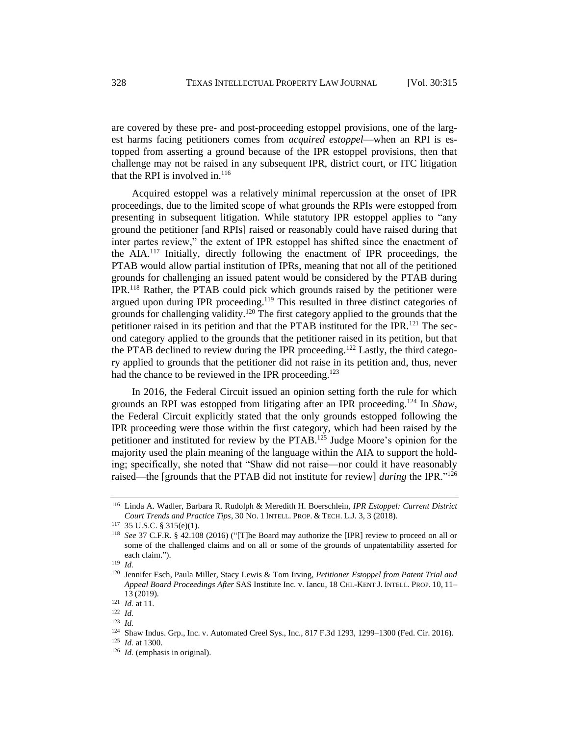are covered by these pre- and post-proceeding estoppel provisions, one of the largest harms facing petitioners comes from *acquired estoppel*—when an RPI is estopped from asserting a ground because of the IPR estoppel provisions, then that challenge may not be raised in any subsequent IPR, district court, or ITC litigation that the RPI is involved in.<sup>116</sup>

Acquired estoppel was a relatively minimal repercussion at the onset of IPR proceedings, due to the limited scope of what grounds the RPIs were estopped from presenting in subsequent litigation. While statutory IPR estoppel applies to "any ground the petitioner [and RPIs] raised or reasonably could have raised during that inter partes review," the extent of IPR estoppel has shifted since the enactment of the AIA.<sup>117</sup> Initially, directly following the enactment of IPR proceedings, the PTAB would allow partial institution of IPRs, meaning that not all of the petitioned grounds for challenging an issued patent would be considered by the PTAB during IPR.<sup>118</sup> Rather, the PTAB could pick which grounds raised by the petitioner were argued upon during IPR proceeding.<sup>119</sup> This resulted in three distinct categories of grounds for challenging validity.<sup>120</sup> The first category applied to the grounds that the petitioner raised in its petition and that the PTAB instituted for the IPR.<sup>121</sup> The second category applied to the grounds that the petitioner raised in its petition, but that the PTAB declined to review during the IPR proceeding.<sup>122</sup> Lastly, the third category applied to grounds that the petitioner did not raise in its petition and, thus, never had the chance to be reviewed in the IPR proceeding.<sup>123</sup>

In 2016, the Federal Circuit issued an opinion setting forth the rule for which grounds an RPI was estopped from litigating after an IPR proceeding.<sup>124</sup> In *Shaw*, the Federal Circuit explicitly stated that the only grounds estopped following the IPR proceeding were those within the first category, which had been raised by the petitioner and instituted for review by the PTAB.<sup>125</sup> Judge Moore's opinion for the majority used the plain meaning of the language within the AIA to support the holding; specifically, she noted that "Shaw did not raise—nor could it have reasonably raised—the [grounds that the PTAB did not institute for review] *during* the IPR."<sup>126</sup>

<sup>116</sup> Linda A. Wadler, Barbara R. Rudolph & Meredith H. Boerschlein, *IPR Estoppel: Current District Court Trends and Practice Tips*, 30 NO. 1 INTELL. PROP. & TECH. L.J. 3, 3 (2018).

<sup>117</sup> 35 U.S.C. § 315(e)(1).

<sup>118</sup> *See* 37 C.F.R. § 42.108 (2016) ("[T]he Board may authorize the [IPR] review to proceed on all or some of the challenged claims and on all or some of the grounds of unpatentability asserted for each claim.").

<sup>119</sup> *Id.*

<sup>120</sup> Jennifer Esch, Paula Miller, Stacy Lewis & Tom Irving, *Petitioner Estoppel from Patent Trial and Appeal Board Proceedings After* SAS Institute Inc. v. Iancu, 18 CHI.-KENT J. INTELL. PROP. 10, 11– 13 (2019).

<sup>121</sup> *Id.* at 11.

<sup>122</sup> *Id.*

<sup>123</sup> *Id.*

<sup>124</sup> Shaw Indus. Grp., Inc. v. Automated Creel Sys., Inc., 817 F.3d 1293, 1299–1300 (Fed. Cir. 2016).

<sup>125</sup> *Id.* at 1300.

<sup>126</sup> *Id.* (emphasis in original).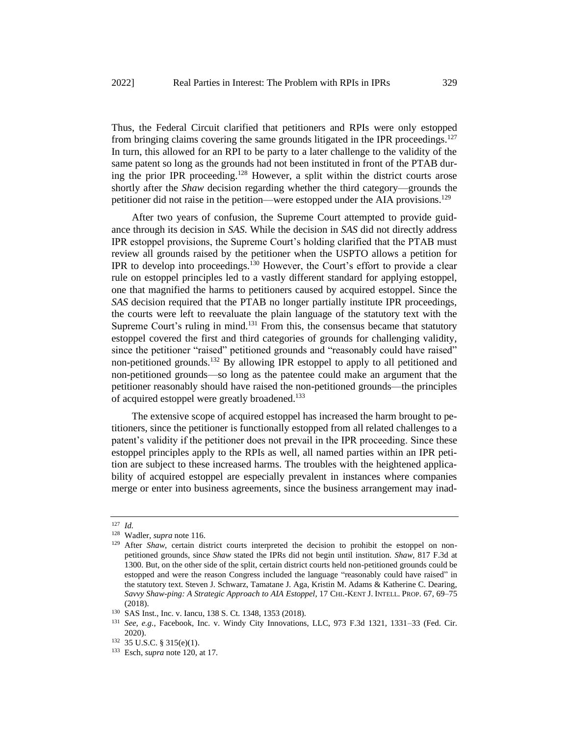Thus, the Federal Circuit clarified that petitioners and RPIs were only estopped from bringing claims covering the same grounds litigated in the IPR proceedings.<sup>127</sup> In turn, this allowed for an RPI to be party to a later challenge to the validity of the same patent so long as the grounds had not been instituted in front of the PTAB during the prior IPR proceeding.<sup>128</sup> However, a split within the district courts arose shortly after the *Shaw* decision regarding whether the third category—grounds the petitioner did not raise in the petition—were estopped under the AIA provisions.<sup>129</sup>

After two years of confusion, the Supreme Court attempted to provide guidance through its decision in *SAS*. While the decision in *SAS* did not directly address IPR estoppel provisions, the Supreme Court's holding clarified that the PTAB must review all grounds raised by the petitioner when the USPTO allows a petition for IPR to develop into proceedings.<sup>130</sup> However, the Court's effort to provide a clear rule on estoppel principles led to a vastly different standard for applying estoppel, one that magnified the harms to petitioners caused by acquired estoppel. Since the *SAS* decision required that the PTAB no longer partially institute IPR proceedings, the courts were left to reevaluate the plain language of the statutory text with the Supreme Court's ruling in mind. $131$  From this, the consensus became that statutory estoppel covered the first and third categories of grounds for challenging validity, since the petitioner "raised" petitioned grounds and "reasonably could have raised" non-petitioned grounds.<sup>132</sup> By allowing IPR estoppel to apply to all petitioned and non-petitioned grounds—so long as the patentee could make an argument that the petitioner reasonably should have raised the non-petitioned grounds—the principles of acquired estoppel were greatly broadened.<sup>133</sup>

The extensive scope of acquired estoppel has increased the harm brought to petitioners, since the petitioner is functionally estopped from all related challenges to a patent's validity if the petitioner does not prevail in the IPR proceeding. Since these estoppel principles apply to the RPIs as well, all named parties within an IPR petition are subject to these increased harms. The troubles with the heightened applicability of acquired estoppel are especially prevalent in instances where companies merge or enter into business agreements, since the business arrangement may inad-

<sup>127</sup> *Id.*

<sup>128</sup> Wadler, *supra* note 116.

<sup>&</sup>lt;sup>129</sup> After *Shaw*, certain district courts interpreted the decision to prohibit the estoppel on nonpetitioned grounds, since *Shaw* stated the IPRs did not begin until institution. *Shaw*, 817 F.3d at 1300. But, on the other side of the split, certain district courts held non-petitioned grounds could be estopped and were the reason Congress included the language "reasonably could have raised" in the statutory text. Steven J. Schwarz, Tamatane J. Aga, Kristin M. Adams & Katherine C. Dearing, *Savvy Shaw-ping: A Strategic Approach to AIA Estoppel*, 17 CHI.-KENT J. INTELL. PROP. 67, 69–75 (2018).

<sup>&</sup>lt;sup>130</sup> SAS Inst., Inc. v. Iancu, 138 S. Ct. 1348, 1353 (2018).<br><sup>131</sup> See e.g. Eacebook Inc. v. Windy City Innovations

<sup>131</sup> *See, e.g.*, Facebook, Inc. v. Windy City Innovations, LLC, 973 F.3d 1321, 1331–33 (Fed. Cir. 2020).

<sup>132</sup> 35 U.S.C. § 315(e)(1).

<sup>133</sup> Esch, *supra* note 120, at 17.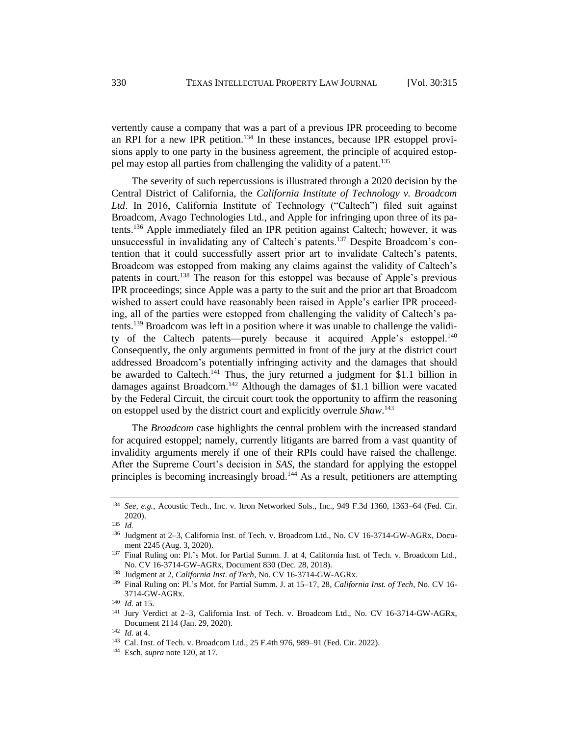vertently cause a company that was a part of a previous IPR proceeding to become an RPI for a new IPR petition.<sup>134</sup> In these instances, because IPR estoppel provisions apply to one party in the business agreement, the principle of acquired estoppel may estop all parties from challenging the validity of a patent.<sup>135</sup>

The severity of such repercussions is illustrated through a 2020 decision by the Central District of California, the *California Institute of Technology v. Broadcom Ltd*. In 2016, California Institute of Technology ("Caltech") filed suit against Broadcom, Avago Technologies Ltd., and Apple for infringing upon three of its patents.<sup>136</sup> Apple immediately filed an IPR petition against Caltech; however, it was unsuccessful in invalidating any of Caltech's patents.<sup>137</sup> Despite Broadcom's contention that it could successfully assert prior art to invalidate Caltech's patents, Broadcom was estopped from making any claims against the validity of Caltech's patents in court.<sup>138</sup> The reason for this estoppel was because of Apple's previous IPR proceedings; since Apple was a party to the suit and the prior art that Broadcom wished to assert could have reasonably been raised in Apple's earlier IPR proceeding, all of the parties were estopped from challenging the validity of Caltech's patents.<sup>139</sup> Broadcom was left in a position where it was unable to challenge the validity of the Caltech patents—purely because it acquired Apple's estoppel.<sup>140</sup> Consequently, the only arguments permitted in front of the jury at the district court addressed Broadcom's potentially infringing activity and the damages that should be awarded to Caltech.<sup>141</sup> Thus, the jury returned a judgment for \$1.1 billion in damages against Broadcom.<sup>142</sup> Although the damages of \$1.1 billion were vacated by the Federal Circuit, the circuit court took the opportunity to affirm the reasoning on estoppel used by the district court and explicitly overrule *Shaw*. 143

The *Broadcom* case highlights the central problem with the increased standard for acquired estoppel; namely, currently litigants are barred from a vast quantity of invalidity arguments merely if one of their RPIs could have raised the challenge. After the Supreme Court's decision in *SAS*, the standard for applying the estoppel principles is becoming increasingly broad.<sup>144</sup> As a result, petitioners are attempting

<sup>144</sup> Esch, *supra* note 120, at 17.

<sup>134</sup> *See, e.g.*, Acoustic Tech., Inc. v. Itron Networked Sols., Inc., 949 F.3d 1360, 1363–64 (Fed. Cir. 2020).

<sup>135</sup> *Id.*

<sup>136</sup> Judgment at 2–3, California Inst. of Tech. v. Broadcom Ltd., No. CV 16-3714-GW-AGRx, Document 2245 (Aug. 3, 2020).

<sup>137</sup> Final Ruling on: Pl.'s Mot. for Partial Summ. J. at 4, California Inst. of Tech. v. Broadcom Ltd., No. CV 16-3714-GW-AGRx, Document 830 (Dec. 28, 2018).

<sup>138</sup> Judgment at 2, *California Inst. of Tech*, No. CV 16-3714-GW-AGRx.

<sup>139</sup> Final Ruling on: Pl.'s Mot. for Partial Summ. J. at 15–17, 28, *California Inst. of Tech*, No. CV 16- 3714-GW-AGRx.

<sup>140</sup> *Id.* at 15.

<sup>141</sup> Jury Verdict at 2–3, California Inst. of Tech. v. Broadcom Ltd., No. CV 16-3714-GW-AGRx, Document 2114 (Jan. 29, 2020).

<sup>142</sup> *Id.* at 4.

<sup>143</sup> Cal. Inst. of Tech. v. Broadcom Ltd., 25 F.4th 976, 989–91 (Fed. Cir. 2022).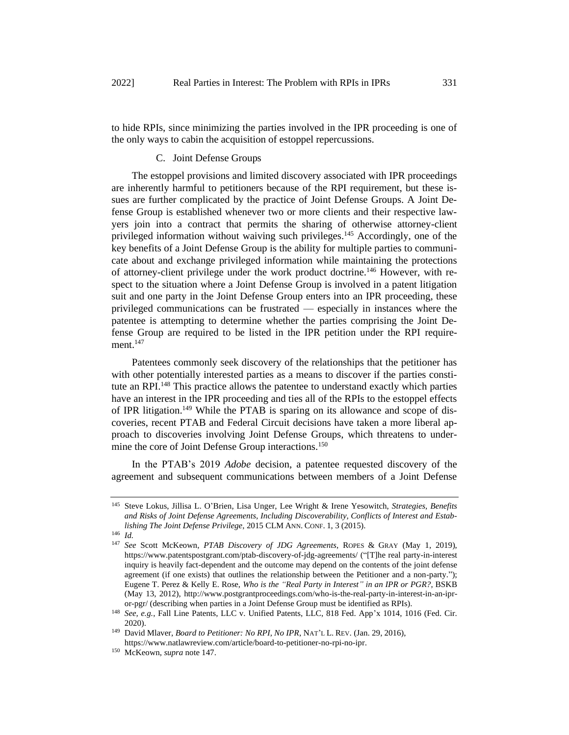to hide RPIs, since minimizing the parties involved in the IPR proceeding is one of the only ways to cabin the acquisition of estoppel repercussions.

# C. Joint Defense Groups

The estoppel provisions and limited discovery associated with IPR proceedings are inherently harmful to petitioners because of the RPI requirement, but these issues are further complicated by the practice of Joint Defense Groups. A Joint Defense Group is established whenever two or more clients and their respective lawyers join into a contract that permits the sharing of otherwise attorney-client privileged information without waiving such privileges.<sup>145</sup> Accordingly, one of the key benefits of a Joint Defense Group is the ability for multiple parties to communicate about and exchange privileged information while maintaining the protections of attorney-client privilege under the work product doctrine.<sup>146</sup> However, with respect to the situation where a Joint Defense Group is involved in a patent litigation suit and one party in the Joint Defense Group enters into an IPR proceeding, these privileged communications can be frustrated — especially in instances where the patentee is attempting to determine whether the parties comprising the Joint Defense Group are required to be listed in the IPR petition under the RPI requirement.<sup>147</sup>

Patentees commonly seek discovery of the relationships that the petitioner has with other potentially interested parties as a means to discover if the parties constitute an RPI.<sup>148</sup> This practice allows the patentee to understand exactly which parties have an interest in the IPR proceeding and ties all of the RPIs to the estoppel effects of IPR litigation.<sup>149</sup> While the PTAB is sparing on its allowance and scope of discoveries, recent PTAB and Federal Circuit decisions have taken a more liberal approach to discoveries involving Joint Defense Groups, which threatens to undermine the core of Joint Defense Group interactions.<sup>150</sup>

In the PTAB's 2019 *Adobe* decision, a patentee requested discovery of the agreement and subsequent communications between members of a Joint Defense

<sup>145</sup> Steve Lokus, Jillisa L. O'Brien, Lisa Unger, Lee Wright & Irene Yesowitch, *Strategies, Benefits and Risks of Joint Defense Agreements, Including Discoverability, Conflicts of Interest and Establishing The Joint Defense Privilege*, 2015 CLM ANN. CONF. 1, 3 (2015).

<sup>146</sup> *Id.*

<sup>147</sup> *See* Scott McKeown, *PTAB Discovery of JDG Agreements*, ROPES & GRAY (May 1, 2019), https://www.patentspostgrant.com/ptab-discovery-of-jdg-agreements/ ("[T]he real party-in-interest inquiry is heavily fact-dependent and the outcome may depend on the contents of the joint defense agreement (if one exists) that outlines the relationship between the Petitioner and a non-party."); Eugene T. Perez & Kelly E. Rose, *Who is the "Real Party in Interest" in an IPR or PGR?*, BSKB (May 13, 2012), http://www.postgrantproceedings.com/who-is-the-real-party-in-interest-in-an-ipror-pgr/ (describing when parties in a Joint Defense Group must be identified as RPIs).

<sup>148</sup> *See, e.g.*, Fall Line Patents, LLC v. Unified Patents, LLC, 818 Fed. App'x 1014, 1016 (Fed. Cir. 2020).

<sup>&</sup>lt;sup>149</sup> David Mlaver, *Board to Petitioner: No RPI, No IPR*, NAT'L L. REV. (Jan. 29, 2016), https://www.natlawreview.com/article/board-to-petitioner-no-rpi-no-ipr.

<sup>150</sup> McKeown, *supra* note 147.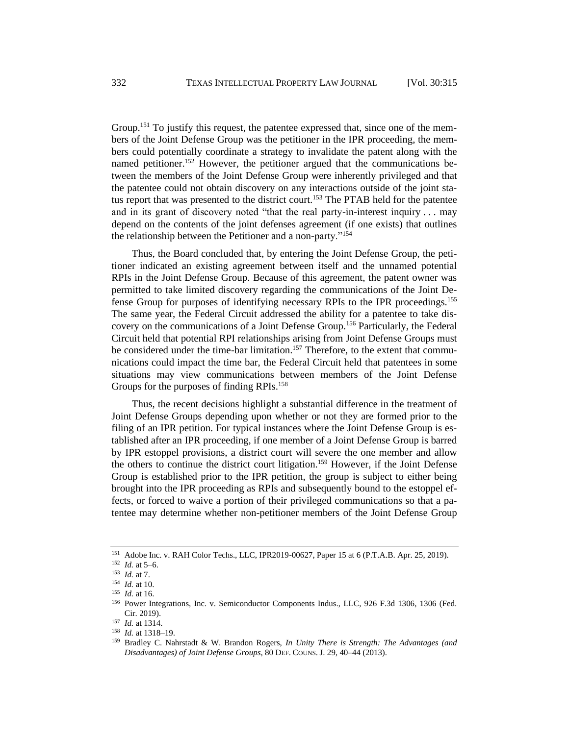Group.<sup>151</sup> To justify this request, the patentee expressed that, since one of the members of the Joint Defense Group was the petitioner in the IPR proceeding, the members could potentially coordinate a strategy to invalidate the patent along with the named petitioner.<sup>152</sup> However, the petitioner argued that the communications between the members of the Joint Defense Group were inherently privileged and that the patentee could not obtain discovery on any interactions outside of the joint status report that was presented to the district court.<sup>153</sup> The PTAB held for the patentee and in its grant of discovery noted "that the real party-in-interest inquiry . . . may depend on the contents of the joint defenses agreement (if one exists) that outlines the relationship between the Petitioner and a non-party."<sup>154</sup>

Thus, the Board concluded that, by entering the Joint Defense Group, the petitioner indicated an existing agreement between itself and the unnamed potential RPIs in the Joint Defense Group. Because of this agreement, the patent owner was permitted to take limited discovery regarding the communications of the Joint Defense Group for purposes of identifying necessary RPIs to the IPR proceedings.<sup>155</sup> The same year, the Federal Circuit addressed the ability for a patentee to take discovery on the communications of a Joint Defense Group.<sup>156</sup> Particularly, the Federal Circuit held that potential RPI relationships arising from Joint Defense Groups must be considered under the time-bar limitation.<sup>157</sup> Therefore, to the extent that communications could impact the time bar, the Federal Circuit held that patentees in some situations may view communications between members of the Joint Defense Groups for the purposes of finding RPIs.<sup>158</sup>

Thus, the recent decisions highlight a substantial difference in the treatment of Joint Defense Groups depending upon whether or not they are formed prior to the filing of an IPR petition. For typical instances where the Joint Defense Group is established after an IPR proceeding, if one member of a Joint Defense Group is barred by IPR estoppel provisions, a district court will severe the one member and allow the others to continue the district court litigation.<sup>159</sup> However, if the Joint Defense Group is established prior to the IPR petition, the group is subject to either being brought into the IPR proceeding as RPIs and subsequently bound to the estoppel effects, or forced to waive a portion of their privileged communications so that a patentee may determine whether non-petitioner members of the Joint Defense Group

<sup>151</sup> Adobe Inc. v. RAH Color Techs., LLC, IPR2019-00627, Paper 15 at 6 (P.T.A.B. Apr. 25, 2019).

<sup>152</sup> *Id.* at 5–6.

<sup>153</sup> *Id.* at 7.

<sup>154</sup> *Id.* at 10.

<sup>155</sup> *Id.* at 16.

<sup>156</sup> Power Integrations, Inc. v. Semiconductor Components Indus., LLC, 926 F.3d 1306, 1306 (Fed. Cir. 2019).

<sup>157</sup> *Id.* at 1314.

<sup>158</sup> *Id.* at 1318–19.

<sup>159</sup> Bradley C. Nahrstadt & W. Brandon Rogers, *In Unity There is Strength: The Advantages (and Disadvantages) of Joint Defense Groups*, 80 DEF. COUNS. J. 29, 40–44 (2013).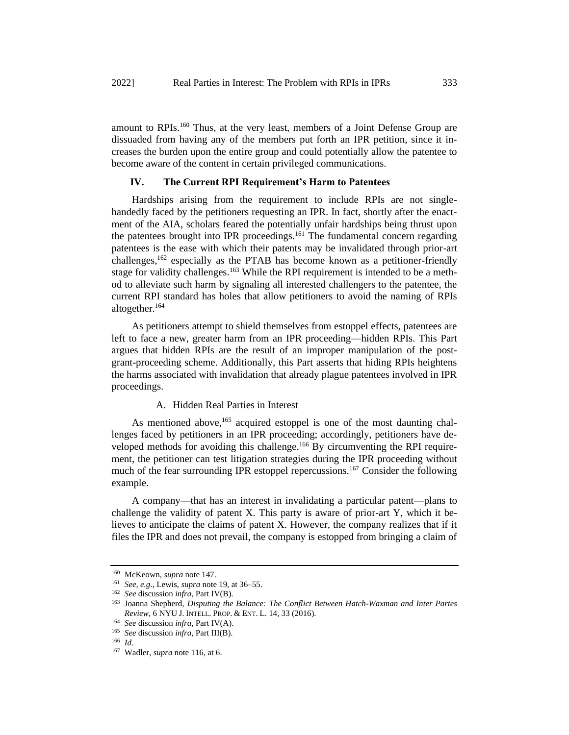amount to RPIs.<sup>160</sup> Thus, at the very least, members of a Joint Defense Group are dissuaded from having any of the members put forth an IPR petition, since it increases the burden upon the entire group and could potentially allow the patentee to become aware of the content in certain privileged communications.

### **IV. The Current RPI Requirement's Harm to Patentees**

Hardships arising from the requirement to include RPIs are not singlehandedly faced by the petitioners requesting an IPR. In fact, shortly after the enactment of the AIA, scholars feared the potentially unfair hardships being thrust upon the patentees brought into IPR proceedings.<sup>161</sup> The fundamental concern regarding patentees is the ease with which their patents may be invalidated through prior-art challenges,<sup>162</sup> especially as the PTAB has become known as a petitioner-friendly stage for validity challenges.<sup>163</sup> While the RPI requirement is intended to be a method to alleviate such harm by signaling all interested challengers to the patentee, the current RPI standard has holes that allow petitioners to avoid the naming of RPIs altogether.<sup>164</sup>

As petitioners attempt to shield themselves from estoppel effects, patentees are left to face a new, greater harm from an IPR proceeding—hidden RPIs. This Part argues that hidden RPIs are the result of an improper manipulation of the postgrant-proceeding scheme. Additionally, this Part asserts that hiding RPIs heightens the harms associated with invalidation that already plague patentees involved in IPR proceedings.

# A. Hidden Real Parties in Interest

As mentioned above,<sup>165</sup> acquired estoppel is one of the most daunting challenges faced by petitioners in an IPR proceeding; accordingly, petitioners have developed methods for avoiding this challenge.<sup>166</sup> By circumventing the RPI requirement, the petitioner can test litigation strategies during the IPR proceeding without much of the fear surrounding IPR estoppel repercussions.<sup>167</sup> Consider the following example.

A company—that has an interest in invalidating a particular patent—plans to challenge the validity of patent X. This party is aware of prior-art Y, which it believes to anticipate the claims of patent X. However, the company realizes that if it files the IPR and does not prevail, the company is estopped from bringing a claim of

<sup>160</sup> McKeown, *supra* note 147.

<sup>161</sup> *See, e.g*., Lewis, *supra* note 19, at 36–55.

<sup>162</sup> *See* discussion *infra*, Part IV(B).

<sup>163</sup> Joanna Shepherd, *Disputing the Balance: The Conflict Between Hatch-Waxman and Inter Partes Review*, 6 NYU J. INTELL. PROP. & ENT. L. 14, 33 (2016).

<sup>164</sup> *See* discussion *infra*, Part IV(A).

<sup>165</sup> *See* discussion *infra*, Part III(B).

<sup>166</sup> *Id.* 

<sup>167</sup> Wadler, *supra* note 116, at 6.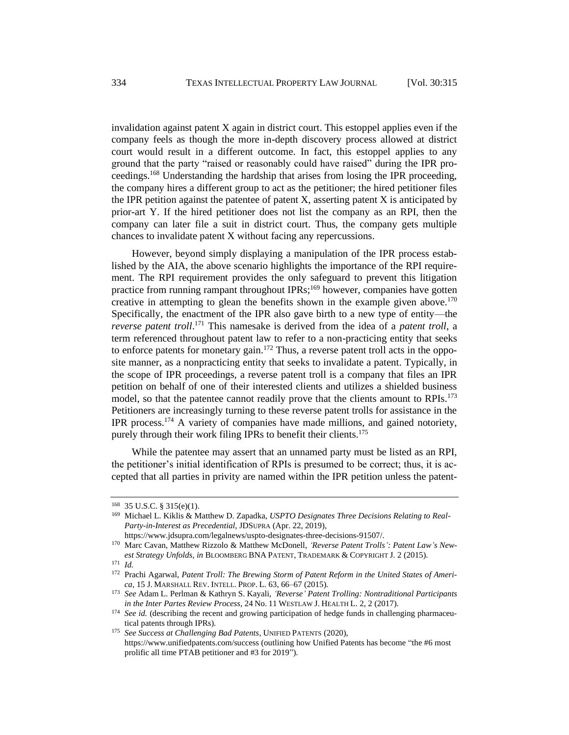invalidation against patent X again in district court. This estoppel applies even if the company feels as though the more in-depth discovery process allowed at district court would result in a different outcome. In fact, this estoppel applies to any ground that the party "raised or reasonably could have raised" during the IPR proceedings.<sup>168</sup> Understanding the hardship that arises from losing the IPR proceeding, the company hires a different group to act as the petitioner; the hired petitioner files the IPR petition against the patentee of patent  $X$ , asserting patent  $X$  is anticipated by prior-art Y. If the hired petitioner does not list the company as an RPI, then the company can later file a suit in district court. Thus, the company gets multiple chances to invalidate patent X without facing any repercussions.

However, beyond simply displaying a manipulation of the IPR process established by the AIA, the above scenario highlights the importance of the RPI requirement. The RPI requirement provides the only safeguard to prevent this litigation practice from running rampant throughout IPRs;<sup>169</sup> however, companies have gotten creative in attempting to glean the benefits shown in the example given above.<sup>170</sup> Specifically, the enactment of the IPR also gave birth to a new type of entity—the *reverse patent troll*. <sup>171</sup> This namesake is derived from the idea of a *patent troll*, a term referenced throughout patent law to refer to a non-practicing entity that seeks to enforce patents for monetary gain.<sup>172</sup> Thus, a reverse patent troll acts in the opposite manner, as a nonpracticing entity that seeks to invalidate a patent. Typically, in the scope of IPR proceedings, a reverse patent troll is a company that files an IPR petition on behalf of one of their interested clients and utilizes a shielded business model, so that the patentee cannot readily prove that the clients amount to RPIs.<sup>173</sup> Petitioners are increasingly turning to these reverse patent trolls for assistance in the IPR process.<sup>174</sup> A variety of companies have made millions, and gained notoriety, purely through their work filing IPRs to benefit their clients.<sup>175</sup>

While the patentee may assert that an unnamed party must be listed as an RPI, the petitioner's initial identification of RPIs is presumed to be correct; thus, it is accepted that all parties in privity are named within the IPR petition unless the patent-

<sup>168</sup> 35 U.S.C. § 315(e)(1).

<sup>169</sup> Michael L. Kiklis & Matthew D. Zapadka, *USPTO Designates Three Decisions Relating to Real-Party-in-Interest as Precedential*, JDSUPRA (Apr. 22, 2019),

https://www.jdsupra.com/legalnews/uspto-designates-three-decisions-91507/.

<sup>&</sup>lt;sup>170</sup> Marc Cavan, Matthew Rizzolo & Matthew McDonell, 'Reverse Patent Trolls': Patent Law's New*est Strategy Unfolds*, *in* BLOOMBERG BNA PATENT, TRADEMARK & COPYRIGHT J. 2 (2015).

<sup>171</sup> *Id.* 

<sup>172</sup> Prachi Agarwal, *Patent Troll: The Brewing Storm of Patent Reform in the United States of America*, 15 J. MARSHALL REV. INTELL. PROP. L. 63, 66–67 (2015).

<sup>173</sup> *See* Adam L. Perlman & Kathryn S. Kayali, *'Reverse' Patent Trolling: Nontraditional Participants in the Inter Partes Review Process*, 24 No. 11 WESTLAW J. HEALTH L. 2, 2 (2017).

<sup>&</sup>lt;sup>174</sup> *See id.* (describing the recent and growing participation of hedge funds in challenging pharmaceutical patents through IPRs)*.* 

<sup>175</sup> *See Success at Challenging Bad Patents*, UNIFIED PATENTS (2020), https://www.unifiedpatents.com/success (outlining how Unified Patents has become "the #6 most prolific all time PTAB petitioner and #3 for 2019").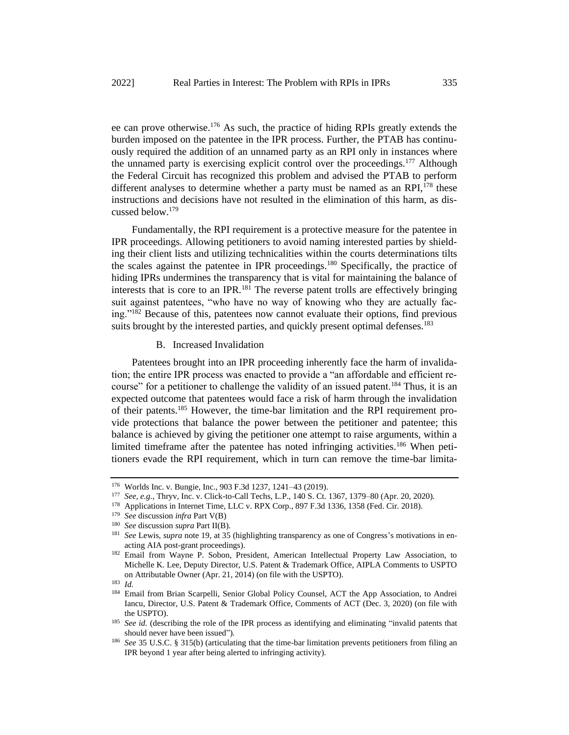ee can prove otherwise.<sup>176</sup> As such, the practice of hiding RPIs greatly extends the burden imposed on the patentee in the IPR process. Further, the PTAB has continuously required the addition of an unnamed party as an RPI only in instances where the unnamed party is exercising explicit control over the proceedings.<sup>177</sup> Although the Federal Circuit has recognized this problem and advised the PTAB to perform different analyses to determine whether a party must be named as an RPI, $^{178}$  these instructions and decisions have not resulted in the elimination of this harm, as discussed below.<sup>179</sup>

Fundamentally, the RPI requirement is a protective measure for the patentee in IPR proceedings. Allowing petitioners to avoid naming interested parties by shielding their client lists and utilizing technicalities within the courts determinations tilts the scales against the patentee in IPR proceedings.<sup>180</sup> Specifically, the practice of hiding IPRs undermines the transparency that is vital for maintaining the balance of interests that is core to an IPR.<sup>181</sup> The reverse patent trolls are effectively bringing suit against patentees, "who have no way of knowing who they are actually facing."<sup>182</sup> Because of this, patentees now cannot evaluate their options, find previous suits brought by the interested parties, and quickly present optimal defenses.<sup>183</sup>

#### B. Increased Invalidation

Patentees brought into an IPR proceeding inherently face the harm of invalidation; the entire IPR process was enacted to provide a "an affordable and efficient recourse" for a petitioner to challenge the validity of an issued patent.<sup>184</sup> Thus, it is an expected outcome that patentees would face a risk of harm through the invalidation of their patents.<sup>185</sup> However, the time-bar limitation and the RPI requirement provide protections that balance the power between the petitioner and patentee; this balance is achieved by giving the petitioner one attempt to raise arguments, within a limited timeframe after the patentee has noted infringing activities.<sup>186</sup> When petitioners evade the RPI requirement, which in turn can remove the time-bar limita-

<sup>178</sup> Applications in Internet Time, LLC v. RPX Corp., 897 F.3d 1336, 1358 (Fed. Cir. 2018).

<sup>176</sup> Worlds Inc. v. Bungie, Inc., 903 F.3d 1237, 1241–43 (2019).

<sup>177</sup> *See, e.g.*, Thryv, Inc. v. Click-to-Call Techs, L.P., 140 S. Ct. 1367, 1379–80 (Apr. 20, 2020).

<sup>179</sup> *See* discussion *infra* Part V(B)

<sup>180</sup> *See* discussion *supra* Part II(B).

<sup>181</sup> *See* Lewis, *supra* note 19, at 35 (highlighting transparency as one of Congress's motivations in enacting AIA post-grant proceedings).

<sup>&</sup>lt;sup>182</sup> Email from Wayne P. Sobon, President, American Intellectual Property Law Association, to Michelle K. Lee, Deputy Director, U.S. Patent & Trademark Office, AIPLA Comments to USPTO on Attributable Owner (Apr. 21, 2014) (on file with the USPTO).

<sup>183</sup> *Id.* 

<sup>&</sup>lt;sup>184</sup> Email from Brian Scarpelli, Senior Global Policy Counsel, ACT the App Association, to Andrei Iancu, Director, U.S. Patent & Trademark Office, Comments of ACT (Dec. 3, 2020) (on file with the USPTO).

<sup>&</sup>lt;sup>185</sup> *See id.* (describing the role of the IPR process as identifying and eliminating "invalid patents that should never have been issued")*.*

<sup>186</sup> *See* 35 U.S.C. § 315(b) (articulating that the time-bar limitation prevents petitioners from filing an IPR beyond 1 year after being alerted to infringing activity).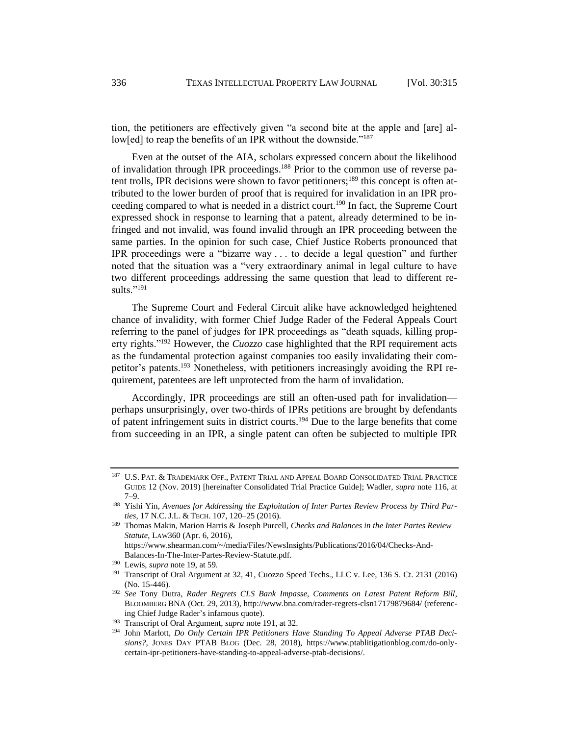tion, the petitioners are effectively given "a second bite at the apple and [are] allow[ed] to reap the benefits of an IPR without the downside."<sup>187</sup>

Even at the outset of the AIA, scholars expressed concern about the likelihood of invalidation through IPR proceedings.<sup>188</sup> Prior to the common use of reverse patent trolls, IPR decisions were shown to favor petitioners;<sup>189</sup> this concept is often attributed to the lower burden of proof that is required for invalidation in an IPR proceeding compared to what is needed in a district court.<sup>190</sup> In fact, the Supreme Court expressed shock in response to learning that a patent, already determined to be infringed and not invalid, was found invalid through an IPR proceeding between the same parties. In the opinion for such case, Chief Justice Roberts pronounced that IPR proceedings were a "bizarre way . . . to decide a legal question" and further noted that the situation was a "very extraordinary animal in legal culture to have two different proceedings addressing the same question that lead to different results." $^{191}$ 

The Supreme Court and Federal Circuit alike have acknowledged heightened chance of invalidity, with former Chief Judge Rader of the Federal Appeals Court referring to the panel of judges for IPR proceedings as "death squads, killing property rights."<sup>192</sup> However, the *Cuozzo* case highlighted that the RPI requirement acts as the fundamental protection against companies too easily invalidating their competitor's patents.<sup>193</sup> Nonetheless, with petitioners increasingly avoiding the RPI requirement, patentees are left unprotected from the harm of invalidation.

Accordingly, IPR proceedings are still an often-used path for invalidation perhaps unsurprisingly, over two-thirds of IPRs petitions are brought by defendants of patent infringement suits in district courts.<sup>194</sup> Due to the large benefits that come from succeeding in an IPR, a single patent can often be subjected to multiple IPR

<sup>187</sup> U.S. PAT. & TRADEMARK OFF., PATENT TRIAL AND APPEAL BOARD CONSOLIDATED TRIAL PRACTICE GUIDE 12 (Nov. 2019) [hereinafter Consolidated Trial Practice Guide]; Wadler, *supra* note 116, at 7–9.

<sup>188</sup> Yishi Yin, *Avenues for Addressing the Exploitation of Inter Partes Review Process by Third Parties*, 17 N.C. J.L. & TECH. 107, 120–25 (2016).

<sup>189</sup> Thomas Makin, Marion Harris & Joseph Purcell, *Checks and Balances in the Inter Partes Review Statute*, LAW360 (Apr. 6, 2016), https://www.shearman.com/~/media/Files/NewsInsights/Publications/2016/04/Checks-And-

Balances-In-The-Inter-Partes-Review-Statute.pdf.

<sup>190</sup> Lewis, *supra* note 19, at 59.

<sup>191</sup> Transcript of Oral Argument at 32, 41, Cuozzo Speed Techs., LLC v. Lee, 136 S. Ct. 2131 (2016) (No. 15-446).

<sup>192</sup> *See* Tony Dutra, *Rader Regrets CLS Bank Impasse, Comments on Latest Patent Reform Bill*, BLOOMBERG BNA (Oct. 29, 2013), http://www.bna.com/rader-regrets-clsn17179879684/ (referencing Chief Judge Rader's infamous quote).

<sup>193</sup> Transcript of Oral Argument, *supra* note 191, at 32.

<sup>194</sup> John Marlott, *Do Only Certain IPR Petitioners Have Standing To Appeal Adverse PTAB Decisions?*, JONES DAY PTAB BLOG (Dec. 28, 2018), https://www.ptablitigationblog.com/do-onlycertain-ipr-petitioners-have-standing-to-appeal-adverse-ptab-decisions/.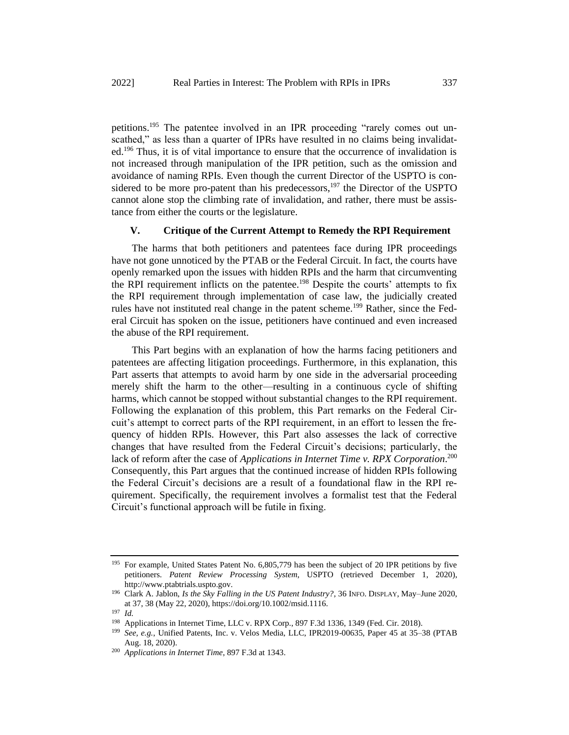petitions.<sup>195</sup> The patentee involved in an IPR proceeding "rarely comes out unscathed," as less than a quarter of IPRs have resulted in no claims being invalidated.<sup>196</sup> Thus, it is of vital importance to ensure that the occurrence of invalidation is not increased through manipulation of the IPR petition, such as the omission and avoidance of naming RPIs. Even though the current Director of the USPTO is considered to be more pro-patent than his predecessors, $197$  the Director of the USPTO cannot alone stop the climbing rate of invalidation, and rather, there must be assistance from either the courts or the legislature.

## **V. Critique of the Current Attempt to Remedy the RPI Requirement**

The harms that both petitioners and patentees face during IPR proceedings have not gone unnoticed by the PTAB or the Federal Circuit. In fact, the courts have openly remarked upon the issues with hidden RPIs and the harm that circumventing the RPI requirement inflicts on the patentee.<sup>198</sup> Despite the courts' attempts to fix the RPI requirement through implementation of case law, the judicially created rules have not instituted real change in the patent scheme.<sup>199</sup> Rather, since the Federal Circuit has spoken on the issue, petitioners have continued and even increased the abuse of the RPI requirement.

This Part begins with an explanation of how the harms facing petitioners and patentees are affecting litigation proceedings. Furthermore, in this explanation, this Part asserts that attempts to avoid harm by one side in the adversarial proceeding merely shift the harm to the other—resulting in a continuous cycle of shifting harms, which cannot be stopped without substantial changes to the RPI requirement. Following the explanation of this problem, this Part remarks on the Federal Circuit's attempt to correct parts of the RPI requirement, in an effort to lessen the frequency of hidden RPIs. However, this Part also assesses the lack of corrective changes that have resulted from the Federal Circuit's decisions; particularly, the lack of reform after the case of *Applications in Internet Time v. RPX Corporation*. 200 Consequently, this Part argues that the continued increase of hidden RPIs following the Federal Circuit's decisions are a result of a foundational flaw in the RPI requirement. Specifically, the requirement involves a formalist test that the Federal Circuit's functional approach will be futile in fixing.

<sup>&</sup>lt;sup>195</sup> For example, United States Patent No. 6,805,779 has been the subject of 20 IPR petitions by five petitioners. *Patent Review Processing System*, USPTO (retrieved December 1, 2020), http://www.ptabtrials.uspto.gov.

<sup>196</sup> Clark A. Jablon, *Is the Sky Falling in the US Patent Industry?*, 36 INFO. DISPLAY, May–June 2020, at 37, 38 (May 22, 2020), https://doi.org/10.1002/msid.1116.

<sup>197</sup> *Id.* 

<sup>198</sup> Applications in Internet Time, LLC v. RPX Corp., 897 F.3d 1336, 1349 (Fed. Cir. 2018).

<sup>199</sup> *See, e.g.*, Unified Patents, Inc. v. Velos Media, LLC, IPR2019-00635, Paper 45 at 35–38 (PTAB Aug. 18, 2020).

<sup>200</sup> *Applications in Internet Time*, 897 F.3d at 1343.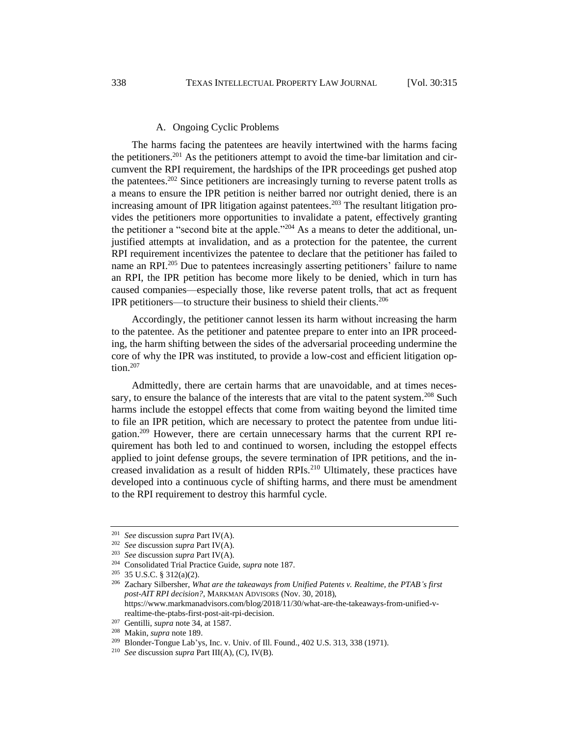#### A. Ongoing Cyclic Problems

The harms facing the patentees are heavily intertwined with the harms facing the petitioners.<sup>201</sup> As the petitioners attempt to avoid the time-bar limitation and circumvent the RPI requirement, the hardships of the IPR proceedings get pushed atop the patentees.<sup>202</sup> Since petitioners are increasingly turning to reverse patent trolls as a means to ensure the IPR petition is neither barred nor outright denied, there is an increasing amount of IPR litigation against patentees.<sup>203</sup> The resultant litigation provides the petitioners more opportunities to invalidate a patent, effectively granting the petitioner a "second bite at the apple."<sup>204</sup> As a means to deter the additional, unjustified attempts at invalidation, and as a protection for the patentee, the current RPI requirement incentivizes the patentee to declare that the petitioner has failed to name an RPI<sup>205</sup> Due to patentees increasingly asserting petitioners' failure to name an RPI, the IPR petition has become more likely to be denied, which in turn has caused companies—especially those, like reverse patent trolls, that act as frequent IPR petitioners—to structure their business to shield their clients.<sup>206</sup>

Accordingly, the petitioner cannot lessen its harm without increasing the harm to the patentee. As the petitioner and patentee prepare to enter into an IPR proceeding, the harm shifting between the sides of the adversarial proceeding undermine the core of why the IPR was instituted, to provide a low-cost and efficient litigation option.<sup>207</sup>

Admittedly, there are certain harms that are unavoidable, and at times necessary, to ensure the balance of the interests that are vital to the patent system.<sup>208</sup> Such harms include the estoppel effects that come from waiting beyond the limited time to file an IPR petition, which are necessary to protect the patentee from undue litigation.<sup>209</sup> However, there are certain unnecessary harms that the current RPI requirement has both led to and continued to worsen, including the estoppel effects applied to joint defense groups, the severe termination of IPR petitions, and the increased invalidation as a result of hidden RPIs.<sup>210</sup> Ultimately, these practices have developed into a continuous cycle of shifting harms, and there must be amendment to the RPI requirement to destroy this harmful cycle.

<sup>201</sup> *See* discussion *supra* Part IV(A).

<sup>202</sup> *See* discussion *supra* Part IV(A).

<sup>203</sup> *See* discussion *supra* Part IV(A).

<sup>204</sup> Consolidated Trial Practice Guide, *supra* note 187.

<sup>205</sup> 35 U.S.C. § 312(a)(2).

<sup>206</sup> Zachary Silbersher, *What are the takeaways from Unified Patents v. Realtime, the PTAB's first post-AIT RPI decision?*, MARKMAN ADVISORS (Nov. 30, 2018), https://www.markmanadvisors.com/blog/2018/11/30/what-are-the-takeaways-from-unified-vrealtime-the-ptabs-first-post-ait-rpi-decision.

<sup>207</sup> Gentilli, *supra* note 34, at 1587.

<sup>208</sup> Makin, *supra* note 189.

<sup>209</sup> Blonder-Tongue Lab'ys, Inc. v. Univ. of Ill. Found., 402 U.S. 313, 338 (1971).

<sup>210</sup> *See* discussion *supra* Part III(A), (C), IV(B).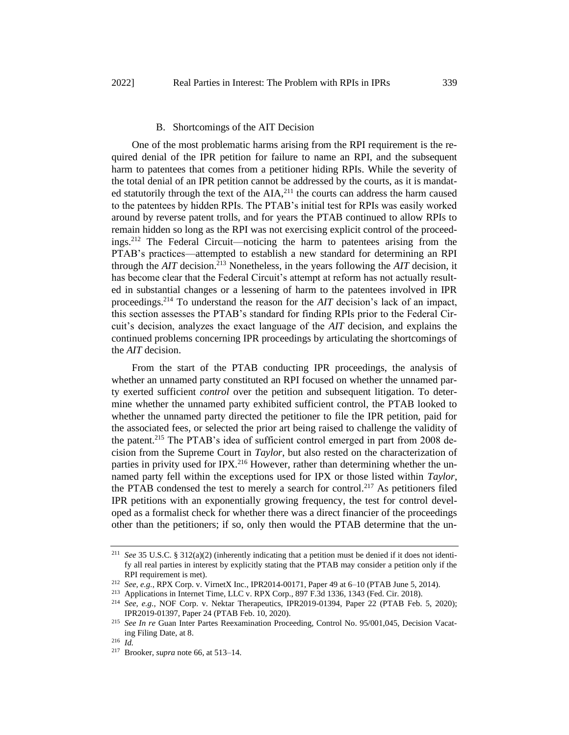#### B. Shortcomings of the AIT Decision

One of the most problematic harms arising from the RPI requirement is the required denial of the IPR petition for failure to name an RPI, and the subsequent harm to patentees that comes from a petitioner hiding RPIs. While the severity of the total denial of an IPR petition cannot be addressed by the courts, as it is mandated statutorily through the text of the  $AIA$ ,<sup>211</sup> the courts can address the harm caused to the patentees by hidden RPIs. The PTAB's initial test for RPIs was easily worked around by reverse patent trolls, and for years the PTAB continued to allow RPIs to remain hidden so long as the RPI was not exercising explicit control of the proceedings.<sup>212</sup> The Federal Circuit—noticing the harm to patentees arising from the PTAB's practices—attempted to establish a new standard for determining an RPI through the  $AIT$  decision.<sup>213</sup> Nonetheless, in the years following the  $AIT$  decision, it has become clear that the Federal Circuit's attempt at reform has not actually resulted in substantial changes or a lessening of harm to the patentees involved in IPR proceedings.<sup>214</sup> To understand the reason for the *AIT* decision's lack of an impact, this section assesses the PTAB's standard for finding RPIs prior to the Federal Circuit's decision, analyzes the exact language of the *AIT* decision, and explains the continued problems concerning IPR proceedings by articulating the shortcomings of the *AIT* decision.

From the start of the PTAB conducting IPR proceedings, the analysis of whether an unnamed party constituted an RPI focused on whether the unnamed party exerted sufficient *control* over the petition and subsequent litigation. To determine whether the unnamed party exhibited sufficient control, the PTAB looked to whether the unnamed party directed the petitioner to file the IPR petition, paid for the associated fees, or selected the prior art being raised to challenge the validity of the patent.<sup>215</sup> The PTAB's idea of sufficient control emerged in part from 2008 decision from the Supreme Court in *Taylor*, but also rested on the characterization of parties in privity used for IPX.<sup>216</sup> However, rather than determining whether the unnamed party fell within the exceptions used for IPX or those listed within *Taylor*, the PTAB condensed the test to merely a search for control.<sup>217</sup> As petitioners filed IPR petitions with an exponentially growing frequency, the test for control developed as a formalist check for whether there was a direct financier of the proceedings other than the petitioners; if so, only then would the PTAB determine that the un-

<sup>211</sup> *See* 35 U.S.C. § 312(a)(2) (inherently indicating that a petition must be denied if it does not identify all real parties in interest by explicitly stating that the PTAB may consider a petition only if the RPI requirement is met).

<sup>212</sup> *See, e.g.*, RPX Corp. v. VirnetX Inc., IPR2014-00171, Paper 49 at 6–10 (PTAB June 5, 2014).

<sup>213</sup> Applications in Internet Time, LLC v. RPX Corp., 897 F.3d 1336, 1343 (Fed. Cir. 2018).

<sup>214</sup> *See, e.g.*, NOF Corp. v. Nektar Therapeutics, IPR2019-01394, Paper 22 (PTAB Feb. 5, 2020); IPR2019-01397, Paper 24 (PTAB Feb. 10, 2020).

<sup>215</sup> *See In re* Guan Inter Partes Reexamination Proceeding, Control No. 95/001,045, Decision Vacating Filing Date, at 8.

<sup>216</sup> *Id.*

<sup>217</sup> Brooker, *supra* note 66, at 513–14.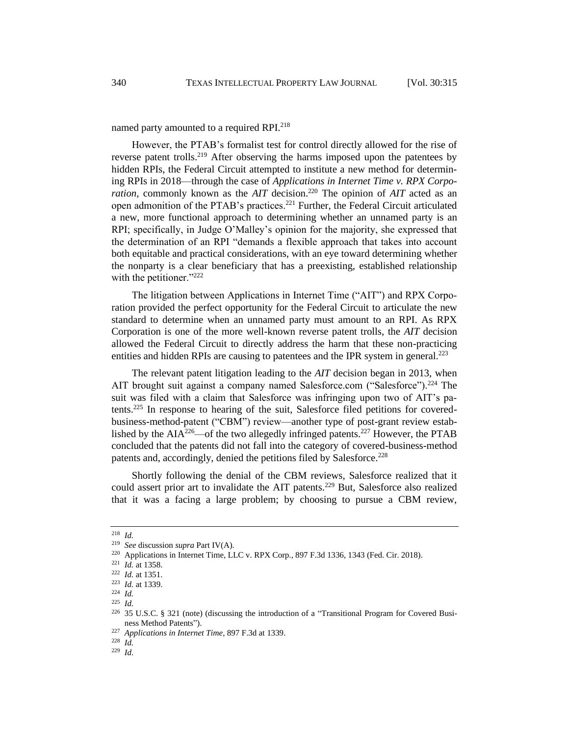named party amounted to a required RPI.<sup>218</sup>

However, the PTAB's formalist test for control directly allowed for the rise of reverse patent trolls.<sup>219</sup> After observing the harms imposed upon the patentees by hidden RPIs, the Federal Circuit attempted to institute a new method for determining RPIs in 2018—through the case of *Applications in Internet Time v. RPX Corporation*, commonly known as the *AIT* decision.<sup>220</sup> The opinion of *AIT* acted as an open admonition of the PTAB's practices.<sup>221</sup> Further, the Federal Circuit articulated a new, more functional approach to determining whether an unnamed party is an RPI; specifically, in Judge O'Malley's opinion for the majority, she expressed that the determination of an RPI "demands a flexible approach that takes into account both equitable and practical considerations, with an eye toward determining whether the nonparty is a clear beneficiary that has a preexisting, established relationship with the petitioner."<sup>222</sup>

The litigation between Applications in Internet Time ("AIT") and RPX Corporation provided the perfect opportunity for the Federal Circuit to articulate the new standard to determine when an unnamed party must amount to an RPI. As RPX Corporation is one of the more well-known reverse patent trolls, the *AIT* decision allowed the Federal Circuit to directly address the harm that these non-practicing entities and hidden RPIs are causing to patentees and the IPR system in general.<sup>223</sup>

The relevant patent litigation leading to the *AIT* decision began in 2013, when AIT brought suit against a company named Salesforce.com ("Salesforce").<sup>224</sup> The suit was filed with a claim that Salesforce was infringing upon two of AIT's patents.<sup>225</sup> In response to hearing of the suit, Salesforce filed petitions for coveredbusiness-method-patent ("CBM") review—another type of post-grant review established by the  $AIA^{226}$ —of the two allegedly infringed patents.<sup>227</sup> However, the PTAB concluded that the patents did not fall into the category of covered-business-method patents and, accordingly, denied the petitions filed by Salesforce.<sup>228</sup>

Shortly following the denial of the CBM reviews, Salesforce realized that it could assert prior art to invalidate the AIT patents.<sup>229</sup> But, Salesforce also realized that it was a facing a large problem; by choosing to pursue a CBM review,

<sup>218</sup> *Id.*

<sup>219</sup> *See* discussion *supra* Part IV(A).

<sup>220</sup> Applications in Internet Time, LLC v. RPX Corp., 897 F.3d 1336, 1343 (Fed. Cir. 2018).

<sup>221</sup> *Id.* at 1358.

<sup>222</sup> *Id.* at 1351.

<sup>223</sup> *Id.* at 1339.

<sup>224</sup> *Id.*

<sup>225</sup> *Id.*

<sup>226</sup> 35 U.S.C. § 321 (note) (discussing the introduction of a "Transitional Program for Covered Business Method Patents").

<sup>227</sup> *Applications in Internet Time*, 897 F.3d at 1339.

<sup>228</sup> *Id.*

<sup>229</sup> *Id*.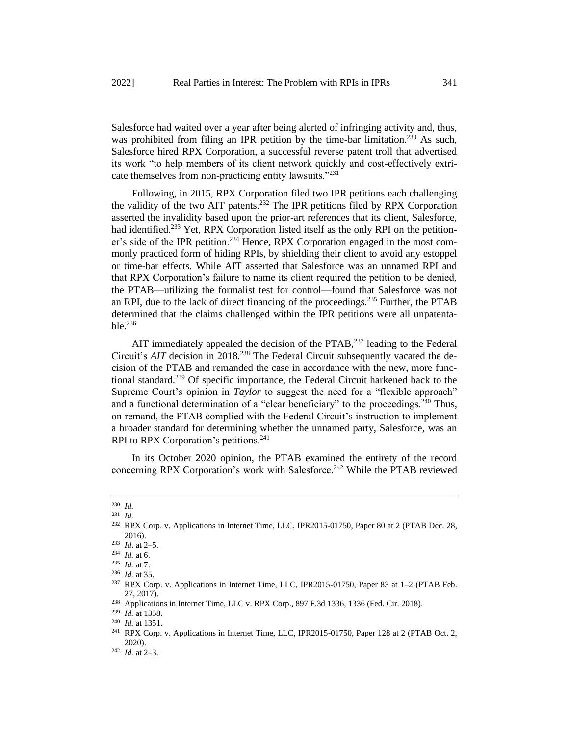Salesforce had waited over a year after being alerted of infringing activity and, thus, was prohibited from filing an IPR petition by the time-bar limitation.<sup>230</sup> As such, Salesforce hired RPX Corporation, a successful reverse patent troll that advertised its work "to help members of its client network quickly and cost-effectively extricate themselves from non-practicing entity lawsuits."<sup>231</sup>

Following, in 2015, RPX Corporation filed two IPR petitions each challenging the validity of the two AIT patents.<sup>232</sup> The IPR petitions filed by RPX Corporation asserted the invalidity based upon the prior-art references that its client, Salesforce, had identified.<sup>233</sup> Yet, RPX Corporation listed itself as the only RPI on the petitioner's side of the IPR petition.<sup>234</sup> Hence, RPX Corporation engaged in the most commonly practiced form of hiding RPIs, by shielding their client to avoid any estoppel or time-bar effects. While AIT asserted that Salesforce was an unnamed RPI and that RPX Corporation's failure to name its client required the petition to be denied, the PTAB—utilizing the formalist test for control—found that Salesforce was not an RPI, due to the lack of direct financing of the proceedings.<sup>235</sup> Further, the PTAB determined that the claims challenged within the IPR petitions were all unpatenta $ble.$ <sup>236</sup>

AIT immediately appealed the decision of the PTAB,<sup>237</sup> leading to the Federal Circuit's *AIT* decision in 2018.<sup>238</sup> The Federal Circuit subsequently vacated the decision of the PTAB and remanded the case in accordance with the new, more functional standard.<sup>239</sup> Of specific importance, the Federal Circuit harkened back to the Supreme Court's opinion in *Taylor* to suggest the need for a "flexible approach" and a functional determination of a "clear beneficiary" to the proceedings.<sup>240</sup> Thus, on remand, the PTAB complied with the Federal Circuit's instruction to implement a broader standard for determining whether the unnamed party, Salesforce, was an RPI to RPX Corporation's petitions.<sup>241</sup>

In its October 2020 opinion, the PTAB examined the entirety of the record concerning RPX Corporation's work with Salesforce.<sup>242</sup> While the PTAB reviewed

<sup>230</sup> *Id.*

<sup>231</sup> *Id.*

<sup>&</sup>lt;sup>232</sup> RPX Corp. v. Applications in Internet Time, LLC, IPR2015-01750, Paper 80 at 2 (PTAB Dec. 28, 2016).

<sup>233</sup> *Id*. at 2–5.

<sup>234</sup> *Id.* at 6.

<sup>235</sup> *Id.* at 7.

<sup>236</sup> *Id.* at 35.

<sup>237</sup> RPX Corp. v. Applications in Internet Time, LLC, IPR2015-01750, Paper 83 at 1–2 (PTAB Feb. 27, 2017).

<sup>238</sup> Applications in Internet Time, LLC v. RPX Corp., 897 F.3d 1336, 1336 (Fed. Cir. 2018).

<sup>239</sup> *Id.* at 1358.

<sup>240</sup> *Id.* at 1351.

<sup>&</sup>lt;sup>241</sup> RPX Corp. v. Applications in Internet Time, LLC, IPR2015-01750, Paper 128 at 2 (PTAB Oct. 2, 2020).

<sup>242</sup> *Id.* at 2–3.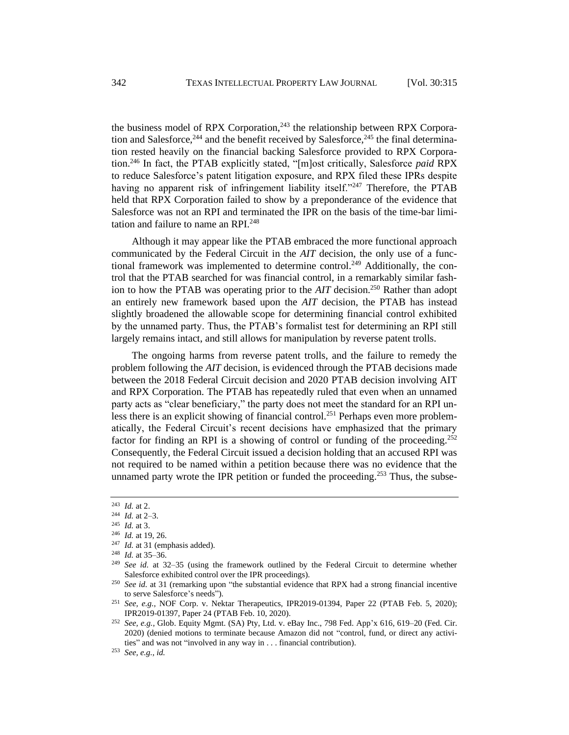the business model of RPX Corporation,<sup>243</sup> the relationship between RPX Corporation and Salesforce,  $244$  and the benefit received by Salesforce,  $245$  the final determination rested heavily on the financial backing Salesforce provided to RPX Corporation.<sup>246</sup> In fact, the PTAB explicitly stated, "[m]ost critically, Salesforce *paid* RPX to reduce Salesforce's patent litigation exposure, and RPX filed these IPRs despite having no apparent risk of infringement liability itself."<sup>247</sup> Therefore, the PTAB held that RPX Corporation failed to show by a preponderance of the evidence that Salesforce was not an RPI and terminated the IPR on the basis of the time-bar limitation and failure to name an RPI.<sup>248</sup>

Although it may appear like the PTAB embraced the more functional approach communicated by the Federal Circuit in the *AIT* decision, the only use of a functional framework was implemented to determine control.<sup>249</sup> Additionally, the control that the PTAB searched for was financial control, in a remarkably similar fashion to how the PTAB was operating prior to the *AIT* decision.<sup>250</sup> Rather than adopt an entirely new framework based upon the *AIT* decision, the PTAB has instead slightly broadened the allowable scope for determining financial control exhibited by the unnamed party. Thus, the PTAB's formalist test for determining an RPI still largely remains intact, and still allows for manipulation by reverse patent trolls.

The ongoing harms from reverse patent trolls, and the failure to remedy the problem following the *AIT* decision, is evidenced through the PTAB decisions made between the 2018 Federal Circuit decision and 2020 PTAB decision involving AIT and RPX Corporation. The PTAB has repeatedly ruled that even when an unnamed party acts as "clear beneficiary," the party does not meet the standard for an RPI unless there is an explicit showing of financial control.<sup>251</sup> Perhaps even more problematically, the Federal Circuit's recent decisions have emphasized that the primary factor for finding an RPI is a showing of control or funding of the proceeding.<sup>252</sup> Consequently, the Federal Circuit issued a decision holding that an accused RPI was not required to be named within a petition because there was no evidence that the unnamed party wrote the IPR petition or funded the proceeding.<sup>253</sup> Thus, the subse-

<sup>243</sup> *Id.* at 2.

<sup>244</sup> *Id.* at 2–3.

<sup>245</sup> *Id.* at 3.

<sup>246</sup> *Id.* at 19, 26.

<sup>247</sup> *Id.* at 31 (emphasis added).

<sup>248</sup> *Id.* at 35–36.

<sup>249</sup> *See id.* at 32–35 (using the framework outlined by the Federal Circuit to determine whether Salesforce exhibited control over the IPR proceedings).

<sup>&</sup>lt;sup>250</sup> See id. at 31 (remarking upon "the substantial evidence that RPX had a strong financial incentive to serve Salesforce's needs").

<sup>251</sup> *See, e.g.*, NOF Corp. v. Nektar Therapeutics, IPR2019-01394, Paper 22 (PTAB Feb. 5, 2020); IPR2019-01397, Paper 24 (PTAB Feb. 10, 2020).

<sup>252</sup> *See, e.g.*, Glob. Equity Mgmt. (SA) Pty, Ltd. v. eBay Inc., 798 Fed. App'x 616, 619–20 (Fed. Cir. 2020) (denied motions to terminate because Amazon did not "control, fund, or direct any activities" and was not "involved in any way in . . . financial contribution).

<sup>253</sup> *See, e.g.*, *id.*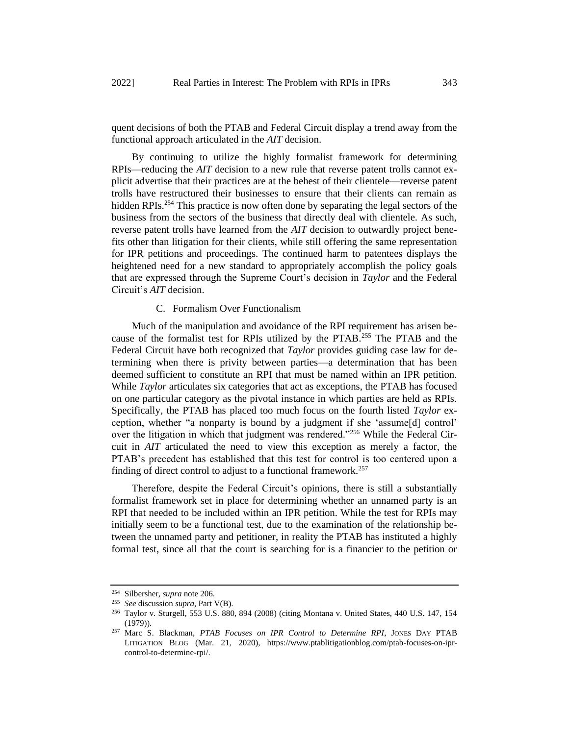quent decisions of both the PTAB and Federal Circuit display a trend away from the functional approach articulated in the *AIT* decision.

By continuing to utilize the highly formalist framework for determining RPIs—reducing the *AIT* decision to a new rule that reverse patent trolls cannot explicit advertise that their practices are at the behest of their clientele—reverse patent trolls have restructured their businesses to ensure that their clients can remain as hidden RPIs.<sup>254</sup> This practice is now often done by separating the legal sectors of the business from the sectors of the business that directly deal with clientele. As such, reverse patent trolls have learned from the *AIT* decision to outwardly project benefits other than litigation for their clients, while still offering the same representation for IPR petitions and proceedings. The continued harm to patentees displays the heightened need for a new standard to appropriately accomplish the policy goals that are expressed through the Supreme Court's decision in *Taylor* and the Federal Circuit's *AIT* decision.

# C. Formalism Over Functionalism

Much of the manipulation and avoidance of the RPI requirement has arisen because of the formalist test for RPIs utilized by the PTAB.<sup>255</sup> The PTAB and the Federal Circuit have both recognized that *Taylor* provides guiding case law for determining when there is privity between parties—a determination that has been deemed sufficient to constitute an RPI that must be named within an IPR petition. While *Taylor* articulates six categories that act as exceptions, the PTAB has focused on one particular category as the pivotal instance in which parties are held as RPIs. Specifically, the PTAB has placed too much focus on the fourth listed *Taylor* exception, whether "a nonparty is bound by a judgment if she 'assume[d] control' over the litigation in which that judgment was rendered."<sup>256</sup> While the Federal Circuit in *AIT* articulated the need to view this exception as merely a factor, the PTAB's precedent has established that this test for control is too centered upon a finding of direct control to adjust to a functional framework.<sup>257</sup>

Therefore, despite the Federal Circuit's opinions, there is still a substantially formalist framework set in place for determining whether an unnamed party is an RPI that needed to be included within an IPR petition. While the test for RPIs may initially seem to be a functional test, due to the examination of the relationship between the unnamed party and petitioner, in reality the PTAB has instituted a highly formal test, since all that the court is searching for is a financier to the petition or

<sup>254</sup> Silbersher, *supra* note 206.

<sup>255</sup> *See* discussion *supra*, Part V(B).

<sup>256</sup> Taylor v. Sturgell, 553 U.S. 880, 894 (2008) (citing Montana v. United States, 440 U.S. 147, 154  $(1979)$ ).

<sup>257</sup> Marc S. Blackman, *PTAB Focuses on IPR Control to Determine RPI*, JONES DAY PTAB LITIGATION BLOG (Mar. 21, 2020), https://www.ptablitigationblog.com/ptab-focuses-on-iprcontrol-to-determine-rpi/.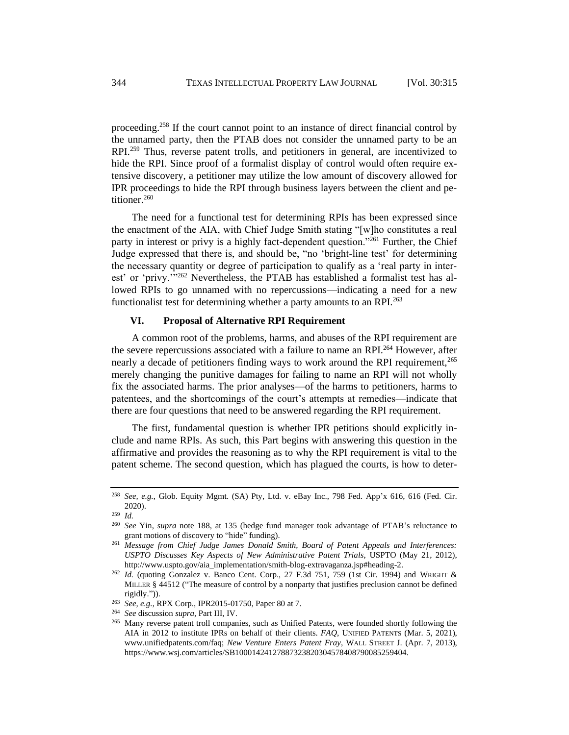proceeding.<sup>258</sup> If the court cannot point to an instance of direct financial control by the unnamed party, then the PTAB does not consider the unnamed party to be an RPI.<sup>259</sup> Thus, reverse patent trolls, and petitioners in general, are incentivized to hide the RPI. Since proof of a formalist display of control would often require extensive discovery, a petitioner may utilize the low amount of discovery allowed for IPR proceedings to hide the RPI through business layers between the client and petitioner.<sup>260</sup>

The need for a functional test for determining RPIs has been expressed since the enactment of the AIA, with Chief Judge Smith stating "[w]ho constitutes a real party in interest or privy is a highly fact-dependent question."<sup>261</sup> Further, the Chief Judge expressed that there is, and should be, "no 'bright-line test' for determining the necessary quantity or degree of participation to qualify as a 'real party in interest' or 'privy.'"<sup>262</sup> Nevertheless, the PTAB has established a formalist test has allowed RPIs to go unnamed with no repercussions—indicating a need for a new functionalist test for determining whether a party amounts to an RPI.<sup>263</sup>

# **VI. Proposal of Alternative RPI Requirement**

A common root of the problems, harms, and abuses of the RPI requirement are the severe repercussions associated with a failure to name an RPI.<sup>264</sup> However, after nearly a decade of petitioners finding ways to work around the RPI requirement,<sup>265</sup> merely changing the punitive damages for failing to name an RPI will not wholly fix the associated harms. The prior analyses—of the harms to petitioners, harms to patentees, and the shortcomings of the court's attempts at remedies—indicate that there are four questions that need to be answered regarding the RPI requirement.

The first, fundamental question is whether IPR petitions should explicitly include and name RPIs. As such, this Part begins with answering this question in the affirmative and provides the reasoning as to why the RPI requirement is vital to the patent scheme. The second question, which has plagued the courts, is how to deter-

<sup>258</sup> *See, e.g.*, Glob. Equity Mgmt. (SA) Pty, Ltd. v. eBay Inc., 798 Fed. App'x 616, 616 (Fed. Cir. 2020).

<sup>259</sup> *Id.*

<sup>260</sup> *See* Yin, *supra* note 188, at 135 (hedge fund manager took advantage of PTAB's reluctance to grant motions of discovery to "hide" funding).

<sup>261</sup> *Message from Chief Judge James Donald Smith, Board of Patent Appeals and Interferences: USPTO Discusses Key Aspects of New Administrative Patent Trials*, USPTO (May 21, 2012), http://www.uspto.gov/aia\_implementation/smith-blog-extravaganza.jsp#heading-2.

<sup>&</sup>lt;sup>262</sup> *Id.* (quoting Gonzalez v. Banco Cent. Corp., 27 F.3d 751, 759 (1st Cir. 1994) and WRIGHT & MILLER § 44512 ("The measure of control by a nonparty that justifies preclusion cannot be defined rigidly.")).

<sup>263</sup> *See, e.g.*, RPX Corp., IPR2015-01750, Paper 80 at 7.

<sup>264</sup> *See* discussion *supra*, Part III, IV.

<sup>&</sup>lt;sup>265</sup> Many reverse patent troll companies, such as Unified Patents, were founded shortly following the AIA in 2012 to institute IPRs on behalf of their clients. *FAQ*, UNIFIED PATENTS (Mar. 5, 2021), www.unifiedpatents.com/faq; *New Venture Enters Patent Fray*, WALL STREET J. (Apr. 7, 2013), https://www.wsj.com/articles/SB10001424127887323820304578408790085259404.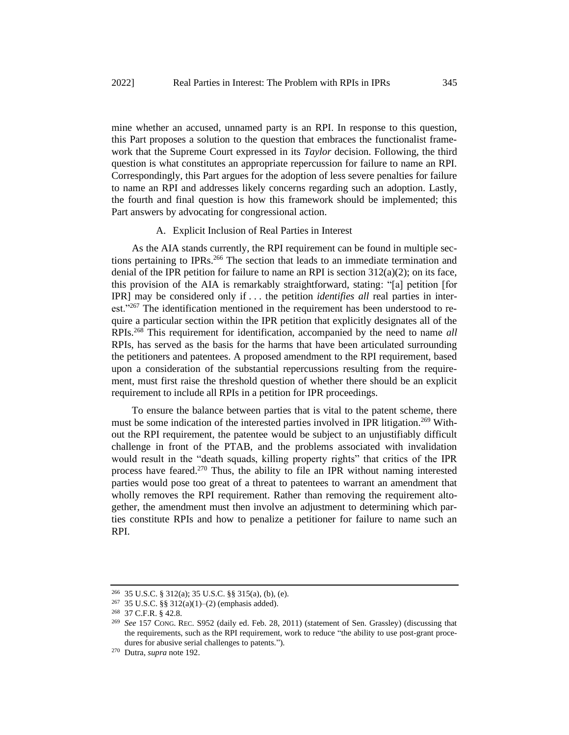mine whether an accused, unnamed party is an RPI. In response to this question, this Part proposes a solution to the question that embraces the functionalist framework that the Supreme Court expressed in its *Taylor* decision. Following, the third question is what constitutes an appropriate repercussion for failure to name an RPI. Correspondingly, this Part argues for the adoption of less severe penalties for failure to name an RPI and addresses likely concerns regarding such an adoption. Lastly, the fourth and final question is how this framework should be implemented; this Part answers by advocating for congressional action.

## A. Explicit Inclusion of Real Parties in Interest

As the AIA stands currently, the RPI requirement can be found in multiple sections pertaining to IPRs.<sup>266</sup> The section that leads to an immediate termination and denial of the IPR petition for failure to name an RPI is section  $312(a)(2)$ ; on its face, this provision of the AIA is remarkably straightforward, stating: "[a] petition [for IPR] may be considered only if . . . the petition *identifies all* real parties in interest."<sup>267</sup> The identification mentioned in the requirement has been understood to require a particular section within the IPR petition that explicitly designates all of the RPIs.<sup>268</sup> This requirement for identification, accompanied by the need to name *all*  RPIs, has served as the basis for the harms that have been articulated surrounding the petitioners and patentees. A proposed amendment to the RPI requirement, based upon a consideration of the substantial repercussions resulting from the requirement, must first raise the threshold question of whether there should be an explicit requirement to include all RPIs in a petition for IPR proceedings.

To ensure the balance between parties that is vital to the patent scheme, there must be some indication of the interested parties involved in IPR litigation.<sup>269</sup> Without the RPI requirement, the patentee would be subject to an unjustifiably difficult challenge in front of the PTAB, and the problems associated with invalidation would result in the "death squads, killing property rights" that critics of the IPR process have feared.<sup>270</sup> Thus, the ability to file an IPR without naming interested parties would pose too great of a threat to patentees to warrant an amendment that wholly removes the RPI requirement. Rather than removing the requirement altogether, the amendment must then involve an adjustment to determining which parties constitute RPIs and how to penalize a petitioner for failure to name such an RPI.

<sup>266</sup> 35 U.S.C. § 312(a); 35 U.S.C. §§ 315(a), (b), (e).

<sup>267</sup> 35 U.S.C. §§ 312(a)(1)–(2) (emphasis added).

 $^{268}$  37 C.F.R. § 42.8.<br> $^{269}$  See 157 Cong P

<sup>269</sup> *See* 157 CONG. REC. S952 (daily ed. Feb. 28, 2011) (statement of Sen. Grassley) (discussing that the requirements, such as the RPI requirement, work to reduce "the ability to use post-grant procedures for abusive serial challenges to patents.").

<sup>270</sup> Dutra, *supra* note 192.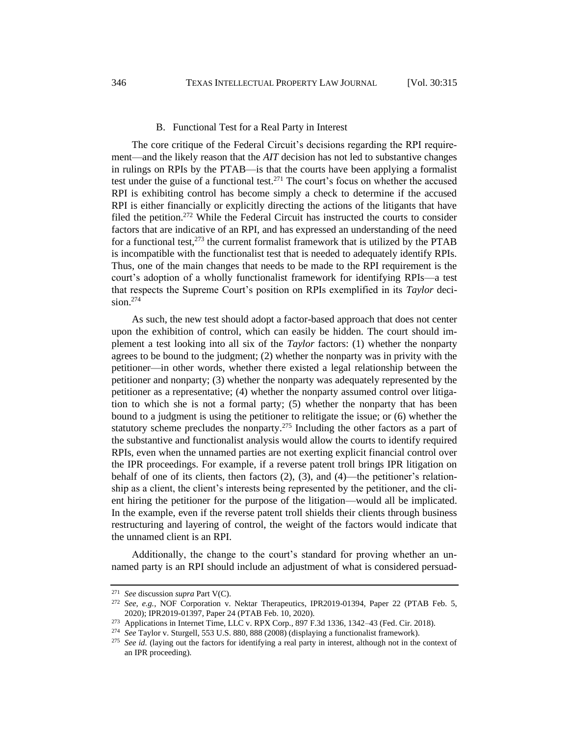#### B. Functional Test for a Real Party in Interest

The core critique of the Federal Circuit's decisions regarding the RPI requirement—and the likely reason that the *AIT* decision has not led to substantive changes in rulings on RPIs by the PTAB—is that the courts have been applying a formalist test under the guise of a functional test.<sup>271</sup> The court's focus on whether the accused RPI is exhibiting control has become simply a check to determine if the accused RPI is either financially or explicitly directing the actions of the litigants that have filed the petition.<sup>272</sup> While the Federal Circuit has instructed the courts to consider factors that are indicative of an RPI, and has expressed an understanding of the need for a functional test, $2^{73}$  the current formalist framework that is utilized by the PTAB is incompatible with the functionalist test that is needed to adequately identify RPIs. Thus, one of the main changes that needs to be made to the RPI requirement is the court's adoption of a wholly functionalist framework for identifying RPIs—a test that respects the Supreme Court's position on RPIs exemplified in its *Taylor* decision. $274$ 

As such, the new test should adopt a factor-based approach that does not center upon the exhibition of control, which can easily be hidden. The court should implement a test looking into all six of the *Taylor* factors: (1) whether the nonparty agrees to be bound to the judgment; (2) whether the nonparty was in privity with the petitioner—in other words, whether there existed a legal relationship between the petitioner and nonparty; (3) whether the nonparty was adequately represented by the petitioner as a representative; (4) whether the nonparty assumed control over litigation to which she is not a formal party; (5) whether the nonparty that has been bound to a judgment is using the petitioner to relitigate the issue; or (6) whether the statutory scheme precludes the nonparty.<sup>275</sup> Including the other factors as a part of the substantive and functionalist analysis would allow the courts to identify required RPIs, even when the unnamed parties are not exerting explicit financial control over the IPR proceedings. For example, if a reverse patent troll brings IPR litigation on behalf of one of its clients, then factors (2), (3), and (4)—the petitioner's relationship as a client, the client's interests being represented by the petitioner, and the client hiring the petitioner for the purpose of the litigation—would all be implicated. In the example, even if the reverse patent troll shields their clients through business restructuring and layering of control, the weight of the factors would indicate that the unnamed client is an RPI.

Additionally, the change to the court's standard for proving whether an unnamed party is an RPI should include an adjustment of what is considered persuad-

<sup>271</sup> *See* discussion *supra* Part V(C).

<sup>272</sup> *See, e.g.*, NOF Corporation v. Nektar Therapeutics, IPR2019-01394, Paper 22 (PTAB Feb. 5, 2020); IPR2019-01397, Paper 24 (PTAB Feb. 10, 2020).

<sup>273</sup> Applications in Internet Time, LLC v. RPX Corp., 897 F.3d 1336, 1342–43 (Fed. Cir. 2018).

<sup>274</sup> *See* Taylor v. Sturgell, 553 U.S. 880, 888 (2008) (displaying a functionalist framework).

<sup>&</sup>lt;sup>275</sup> See id. (laying out the factors for identifying a real party in interest, although not in the context of an IPR proceeding).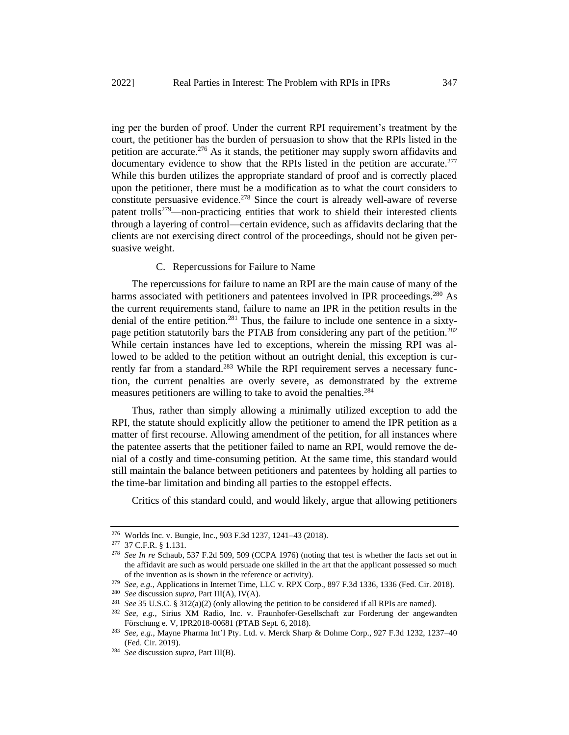ing per the burden of proof. Under the current RPI requirement's treatment by the court, the petitioner has the burden of persuasion to show that the RPIs listed in the petition are accurate.<sup>276</sup> As it stands, the petitioner may supply sworn affidavits and documentary evidence to show that the RPIs listed in the petition are accurate.<sup>277</sup> While this burden utilizes the appropriate standard of proof and is correctly placed upon the petitioner, there must be a modification as to what the court considers to constitute persuasive evidence.<sup>278</sup> Since the court is already well-aware of reverse patent trolls<sup>279</sup>—non-practicing entities that work to shield their interested clients through a layering of control—certain evidence, such as affidavits declaring that the clients are not exercising direct control of the proceedings, should not be given persuasive weight.

#### C. Repercussions for Failure to Name

The repercussions for failure to name an RPI are the main cause of many of the harms associated with petitioners and patentees involved in IPR proceedings.<sup>280</sup> As the current requirements stand, failure to name an IPR in the petition results in the denial of the entire petition.<sup>281</sup> Thus, the failure to include one sentence in a sixtypage petition statutorily bars the PTAB from considering any part of the petition.<sup>282</sup> While certain instances have led to exceptions, wherein the missing RPI was allowed to be added to the petition without an outright denial, this exception is currently far from a standard.<sup>283</sup> While the RPI requirement serves a necessary function, the current penalties are overly severe, as demonstrated by the extreme measures petitioners are willing to take to avoid the penalties.<sup>284</sup>

Thus, rather than simply allowing a minimally utilized exception to add the RPI, the statute should explicitly allow the petitioner to amend the IPR petition as a matter of first recourse. Allowing amendment of the petition, for all instances where the patentee asserts that the petitioner failed to name an RPI, would remove the denial of a costly and time-consuming petition. At the same time, this standard would still maintain the balance between petitioners and patentees by holding all parties to the time-bar limitation and binding all parties to the estoppel effects.

Critics of this standard could, and would likely, argue that allowing petitioners

<sup>276</sup> Worlds Inc. v. Bungie, Inc., 903 F.3d 1237, 1241–43 (2018).

<sup>277</sup> 37 C.F.R. § 1.131.

<sup>278</sup> *See In re* Schaub, 537 F.2d 509, 509 (CCPA 1976) (noting that test is whether the facts set out in the affidavit are such as would persuade one skilled in the art that the applicant possessed so much of the invention as is shown in the reference or activity).

<sup>279</sup> *See, e.g.*, Applications in Internet Time, LLC v. RPX Corp., 897 F.3d 1336, 1336 (Fed. Cir. 2018).

<sup>280</sup> *See* discussion *supra*, Part III(A), IV(A).

<sup>281</sup> *See* 35 U.S.C. § 312(a)(2) (only allowing the petition to be considered if all RPIs are named).

<sup>282</sup> *See, e.g.*, Sirius XM Radio, Inc. v. Fraunhofer-Gesellschaft zur Forderung der angewandten Förschung e. V, IPR2018-00681 (PTAB Sept. 6, 2018).

<sup>283</sup> *See, e.g.*, Mayne Pharma Int'l Pty. Ltd. v. Merck Sharp & Dohme Corp., 927 F.3d 1232, 1237–40 (Fed. Cir. 2019).

<sup>284</sup> *See* discussion *supra*, Part III(B).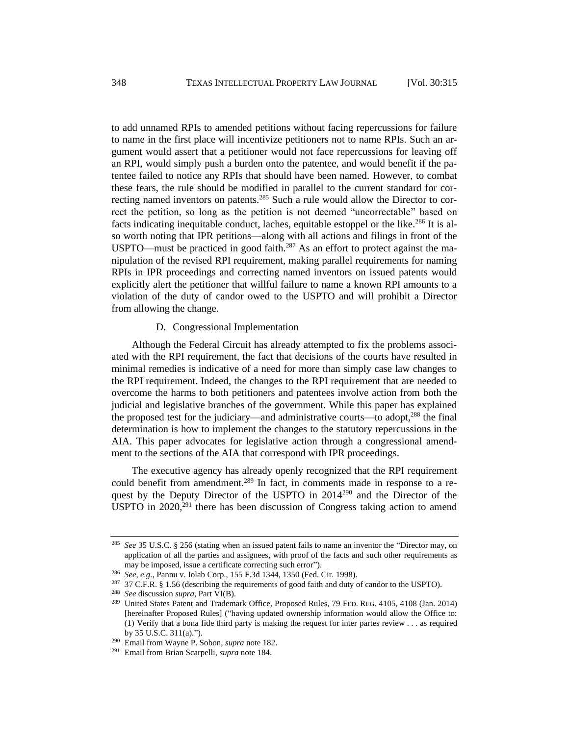to add unnamed RPIs to amended petitions without facing repercussions for failure to name in the first place will incentivize petitioners not to name RPIs. Such an argument would assert that a petitioner would not face repercussions for leaving off an RPI, would simply push a burden onto the patentee, and would benefit if the patentee failed to notice any RPIs that should have been named. However, to combat these fears, the rule should be modified in parallel to the current standard for correcting named inventors on patents.<sup>285</sup> Such a rule would allow the Director to correct the petition, so long as the petition is not deemed "uncorrectable" based on facts indicating inequitable conduct, laches, equitable estoppel or the like.<sup>286</sup> It is also worth noting that IPR petitions—along with all actions and filings in front of the USPTO—must be practiced in good faith.<sup>287</sup> As an effort to protect against the manipulation of the revised RPI requirement, making parallel requirements for naming RPIs in IPR proceedings and correcting named inventors on issued patents would explicitly alert the petitioner that willful failure to name a known RPI amounts to a violation of the duty of candor owed to the USPTO and will prohibit a Director from allowing the change.

D. Congressional Implementation

Although the Federal Circuit has already attempted to fix the problems associated with the RPI requirement, the fact that decisions of the courts have resulted in minimal remedies is indicative of a need for more than simply case law changes to the RPI requirement. Indeed, the changes to the RPI requirement that are needed to overcome the harms to both petitioners and patentees involve action from both the judicial and legislative branches of the government. While this paper has explained the proposed test for the judiciary—and administrative courts—to adopt,<sup>288</sup> the final determination is how to implement the changes to the statutory repercussions in the AIA. This paper advocates for legislative action through a congressional amendment to the sections of the AIA that correspond with IPR proceedings.

The executive agency has already openly recognized that the RPI requirement could benefit from amendment.<sup>289</sup> In fact, in comments made in response to a request by the Deputy Director of the USPTO in 2014<sup>290</sup> and the Director of the USPTO in  $2020$ ,  $^{291}$  there has been discussion of Congress taking action to amend

<sup>285</sup> *See* 35 U.S.C. § 256 (stating when an issued patent fails to name an inventor the "Director may, on application of all the parties and assignees, with proof of the facts and such other requirements as may be imposed, issue a certificate correcting such error").

<sup>286</sup> *See, e.g.*, Pannu v. Iolab Corp., 155 F.3d 1344, 1350 (Fed. Cir. 1998).

<sup>&</sup>lt;sup>287</sup> 37 C.F.R. § 1.56 (describing the requirements of good faith and duty of candor to the USPTO).

<sup>288</sup> *See* discussion *supra*, Part VI(B).

<sup>289</sup> United States Patent and Trademark Office, Proposed Rules, 79 FED. REG. 4105, 4108 (Jan. 2014) [hereinafter Proposed Rules] ("having updated ownership information would allow the Office to: (1) Verify that a bona fide third party is making the request for inter partes review . . . as required by 35 U.S.C. 311(a).").

<sup>290</sup> Email from Wayne P. Sobon, *supra* note 182.

<sup>291</sup> Email from Brian Scarpelli, *supra* note 184.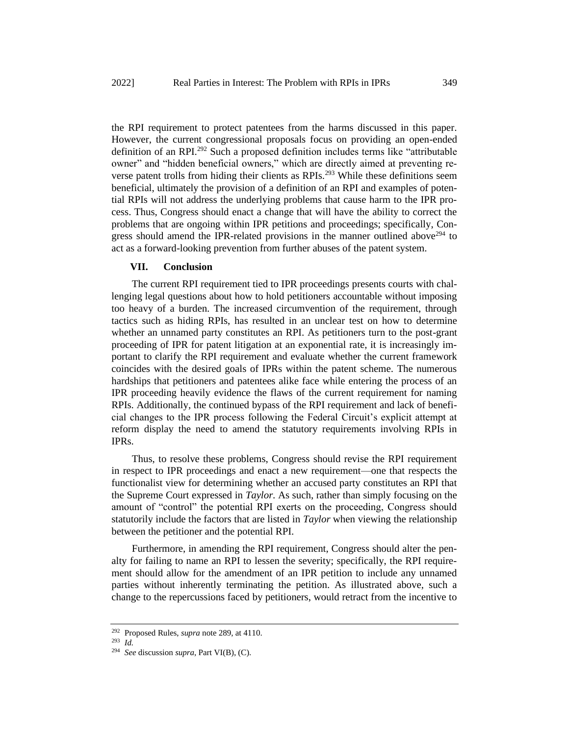the RPI requirement to protect patentees from the harms discussed in this paper. However, the current congressional proposals focus on providing an open-ended definition of an RPI.<sup>292</sup> Such a proposed definition includes terms like "attributable owner" and "hidden beneficial owners," which are directly aimed at preventing reverse patent trolls from hiding their clients as RPIs.<sup>293</sup> While these definitions seem beneficial, ultimately the provision of a definition of an RPI and examples of potential RPIs will not address the underlying problems that cause harm to the IPR process. Thus, Congress should enact a change that will have the ability to correct the problems that are ongoing within IPR petitions and proceedings; specifically, Congress should amend the IPR-related provisions in the manner outlined above  $294$  to act as a forward-looking prevention from further abuses of the patent system.

#### **VII. Conclusion**

The current RPI requirement tied to IPR proceedings presents courts with challenging legal questions about how to hold petitioners accountable without imposing too heavy of a burden. The increased circumvention of the requirement, through tactics such as hiding RPIs, has resulted in an unclear test on how to determine whether an unnamed party constitutes an RPI. As petitioners turn to the post-grant proceeding of IPR for patent litigation at an exponential rate, it is increasingly important to clarify the RPI requirement and evaluate whether the current framework coincides with the desired goals of IPRs within the patent scheme. The numerous hardships that petitioners and patentees alike face while entering the process of an IPR proceeding heavily evidence the flaws of the current requirement for naming RPIs. Additionally, the continued bypass of the RPI requirement and lack of beneficial changes to the IPR process following the Federal Circuit's explicit attempt at reform display the need to amend the statutory requirements involving RPIs in IPRs.

Thus, to resolve these problems, Congress should revise the RPI requirement in respect to IPR proceedings and enact a new requirement—one that respects the functionalist view for determining whether an accused party constitutes an RPI that the Supreme Court expressed in *Taylor*. As such, rather than simply focusing on the amount of "control" the potential RPI exerts on the proceeding, Congress should statutorily include the factors that are listed in *Taylor* when viewing the relationship between the petitioner and the potential RPI.

Furthermore, in amending the RPI requirement, Congress should alter the penalty for failing to name an RPI to lessen the severity; specifically, the RPI requirement should allow for the amendment of an IPR petition to include any unnamed parties without inherently terminating the petition. As illustrated above, such a change to the repercussions faced by petitioners, would retract from the incentive to

<sup>292</sup> Proposed Rules, *supra* note 289, at 4110.

<sup>293</sup> *Id.* 

<sup>294</sup> *See* discussion *supra*, Part VI(B), (C).